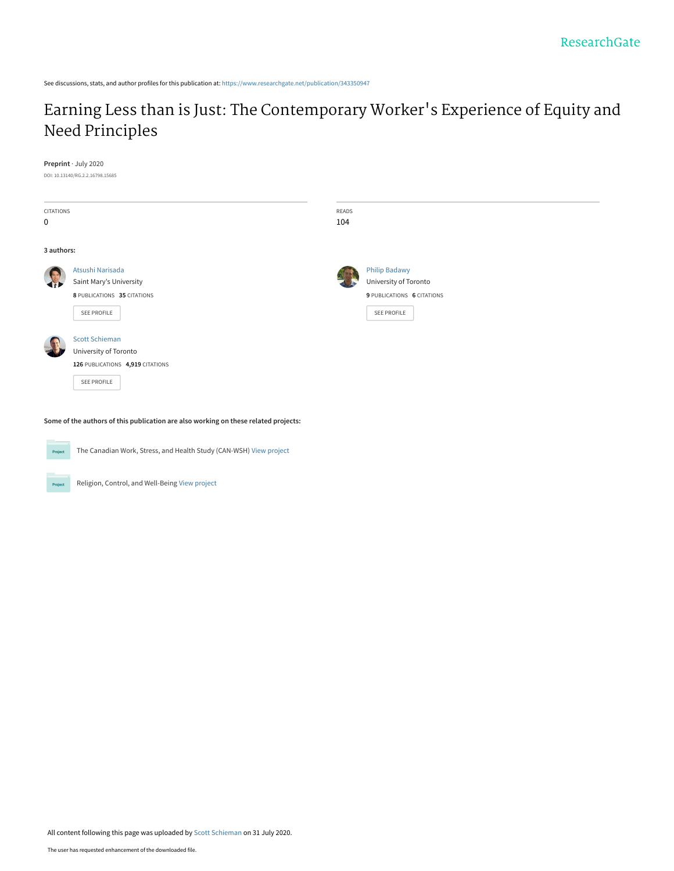See discussions, stats, and author profiles for this publication at: [https://www.researchgate.net/publication/343350947](https://www.researchgate.net/publication/343350947_Earning_Less_than_is_Just_The_Contemporary_Worker%27s_Experience_of_Equity_and_Need_Principles?enrichId=rgreq-fb1c6fe6c028d8d6a0e27f815d5f1d3f-XXX&enrichSource=Y292ZXJQYWdlOzM0MzM1MDk0NztBUzo5MTk0Nzg1MTA1NzE1MjBAMTU5NjIzMjE2ODQ4Nw%3D%3D&el=1_x_2&_esc=publicationCoverPdf)

# [Earning Less than is Just: The Contemporary Worker](https://www.researchgate.net/publication/343350947_Earning_Less_than_is_Just_The_Contemporary_Worker%27s_Experience_of_Equity_and_Need_Principles?enrichId=rgreq-fb1c6fe6c028d8d6a0e27f815d5f1d3f-XXX&enrichSource=Y292ZXJQYWdlOzM0MzM1MDk0NztBUzo5MTk0Nzg1MTA1NzE1MjBAMTU5NjIzMjE2ODQ4Nw%3D%3D&el=1_x_3&_esc=publicationCoverPdf)'s Experience of Equity and Need Principles

#### **Preprint** · July 2020

DOI: 10.13140/RG.2.2.16798.15685

| CITATIONS<br>0 |                                                                                                   | READS<br>104 |                                                                                            |
|----------------|---------------------------------------------------------------------------------------------------|--------------|--------------------------------------------------------------------------------------------|
| 3 authors:     |                                                                                                   |              |                                                                                            |
|                | Atsushi Narisada<br>Saint Mary's University<br>8 PUBLICATIONS 35 CITATIONS<br>SEE PROFILE         |              | <b>Philip Badawy</b><br>University of Toronto<br>9 PUBLICATIONS 6 CITATIONS<br>SEE PROFILE |
|                | <b>Scott Schieman</b><br>University of Toronto<br>126 PUBLICATIONS 4,919 CITATIONS<br>SEE PROFILE |              |                                                                                            |

**Some of the authors of this publication are also working on these related projects:**



Project

The Canadian Work, Stress, and Health Study (CAN-WSH) [View project](https://www.researchgate.net/project/The-Canadian-Work-Stress-and-Health-Study-CAN-WSH?enrichId=rgreq-fb1c6fe6c028d8d6a0e27f815d5f1d3f-XXX&enrichSource=Y292ZXJQYWdlOzM0MzM1MDk0NztBUzo5MTk0Nzg1MTA1NzE1MjBAMTU5NjIzMjE2ODQ4Nw%3D%3D&el=1_x_9&_esc=publicationCoverPdf)

Religion, Control, and Well-Being [View project](https://www.researchgate.net/project/Religion-Control-and-Well-Being?enrichId=rgreq-fb1c6fe6c028d8d6a0e27f815d5f1d3f-XXX&enrichSource=Y292ZXJQYWdlOzM0MzM1MDk0NztBUzo5MTk0Nzg1MTA1NzE1MjBAMTU5NjIzMjE2ODQ4Nw%3D%3D&el=1_x_9&_esc=publicationCoverPdf)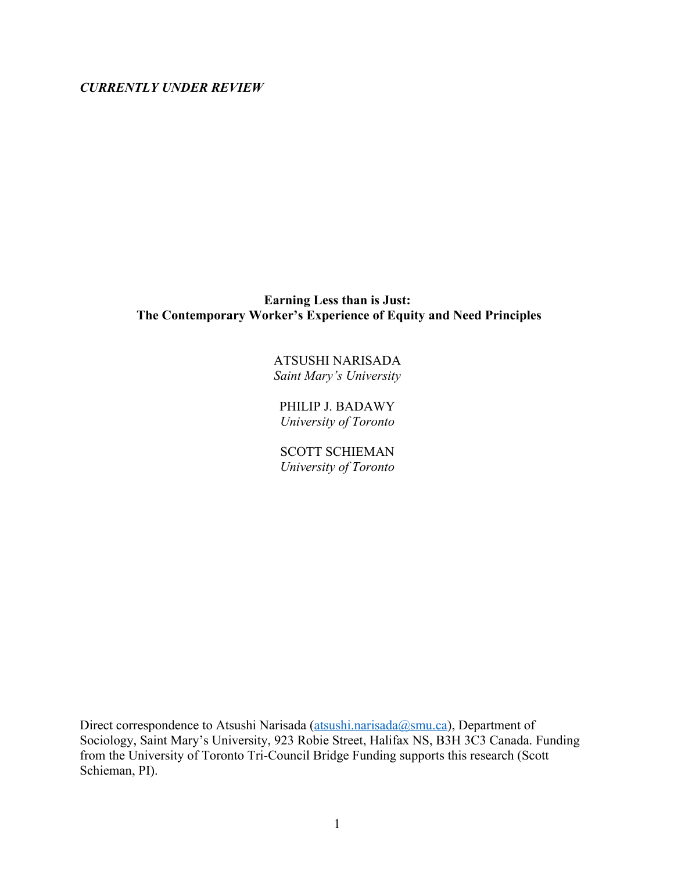*CURRENTLY UNDER REVIEW*

# **Earning Less than is Just: The Contemporary Worker's Experience of Equity and Need Principles**

ATSUSHI NARISADA *Saint Mary's University*

PHILIP J. BADAWY *University of Toronto*

SCOTT SCHIEMAN *University of Toronto*

Direct correspondence to Atsushi Narisada (atsushi.narisada@smu.ca), Department of Sociology, Saint Mary's University, 923 Robie Street, Halifax NS, B3H 3C3 Canada. Funding from the University of Toronto Tri-Council Bridge Funding supports this research (Scott Schieman, PI).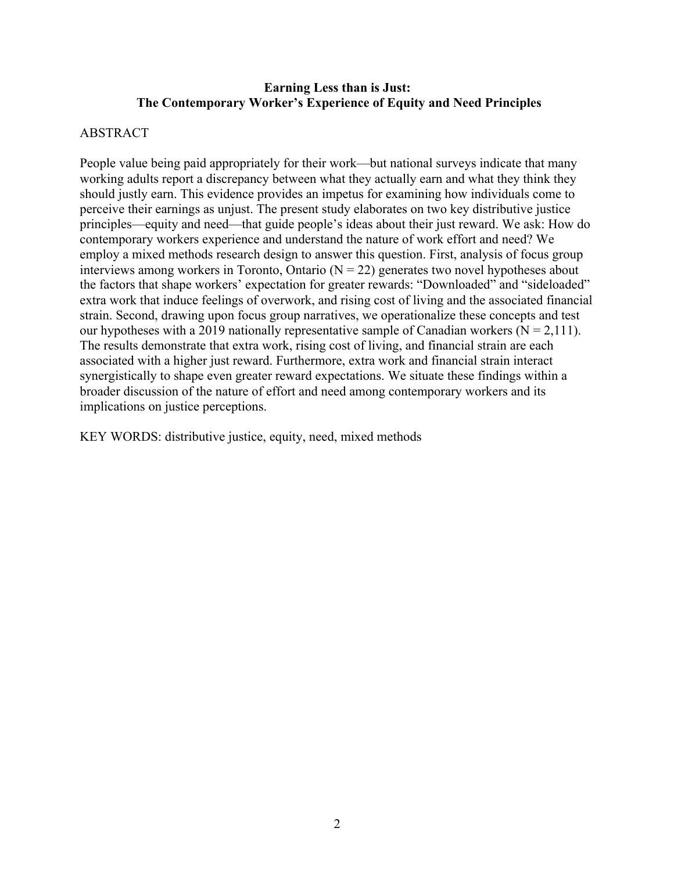# **Earning Less than is Just: The Contemporary Worker's Experience of Equity and Need Principles**

# ABSTRACT

People value being paid appropriately for their work—but national surveys indicate that many working adults report a discrepancy between what they actually earn and what they think they should justly earn. This evidence provides an impetus for examining how individuals come to perceive their earnings as unjust. The present study elaborates on two key distributive justice principles––equity and need––that guide people's ideas about their just reward. We ask: How do contemporary workers experience and understand the nature of work effort and need? We employ a mixed methods research design to answer this question. First, analysis of focus group interviews among workers in Toronto, Ontario  $(N = 22)$  generates two novel hypotheses about the factors that shape workers' expectation for greater rewards: "Downloaded" and "sideloaded" extra work that induce feelings of overwork, and rising cost of living and the associated financial strain. Second, drawing upon focus group narratives, we operationalize these concepts and test our hypotheses with a 2019 nationally representative sample of Canadian workers ( $N = 2,111$ ). The results demonstrate that extra work, rising cost of living, and financial strain are each associated with a higher just reward. Furthermore, extra work and financial strain interact synergistically to shape even greater reward expectations. We situate these findings within a broader discussion of the nature of effort and need among contemporary workers and its implications on justice perceptions.

KEY WORDS: distributive justice, equity, need, mixed methods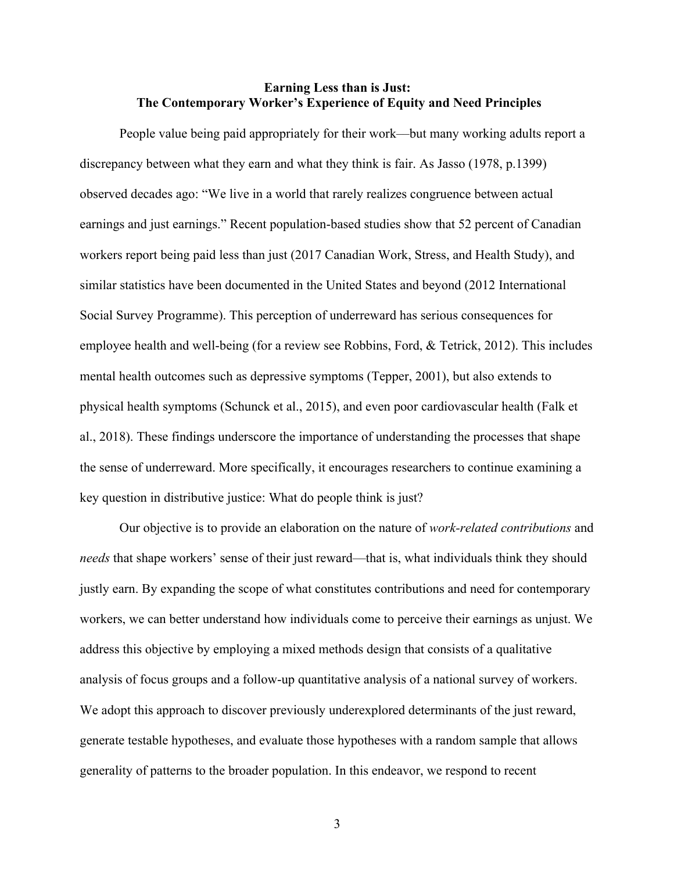# **Earning Less than is Just: The Contemporary Worker's Experience of Equity and Need Principles**

People value being paid appropriately for their work––but many working adults report a discrepancy between what they earn and what they think is fair. As Jasso (1978, p.1399) observed decades ago: "We live in a world that rarely realizes congruence between actual earnings and just earnings." Recent population-based studies show that 52 percent of Canadian workers report being paid less than just (2017 Canadian Work, Stress, and Health Study), and similar statistics have been documented in the United States and beyond (2012 International Social Survey Programme). This perception of underreward has serious consequences for employee health and well-being (for a review see Robbins, Ford, & Tetrick, 2012). This includes mental health outcomes such as depressive symptoms (Tepper, 2001), but also extends to physical health symptoms (Schunck et al., 2015), and even poor cardiovascular health (Falk et al., 2018). These findings underscore the importance of understanding the processes that shape the sense of underreward. More specifically, it encourages researchers to continue examining a key question in distributive justice: What do people think is just?

Our objective is to provide an elaboration on the nature of *work-related contributions* and *needs* that shape workers' sense of their just reward––that is, what individuals think they should justly earn. By expanding the scope of what constitutes contributions and need for contemporary workers, we can better understand how individuals come to perceive their earnings as unjust. We address this objective by employing a mixed methods design that consists of a qualitative analysis of focus groups and a follow-up quantitative analysis of a national survey of workers. We adopt this approach to discover previously underexplored determinants of the just reward, generate testable hypotheses, and evaluate those hypotheses with a random sample that allows generality of patterns to the broader population. In this endeavor, we respond to recent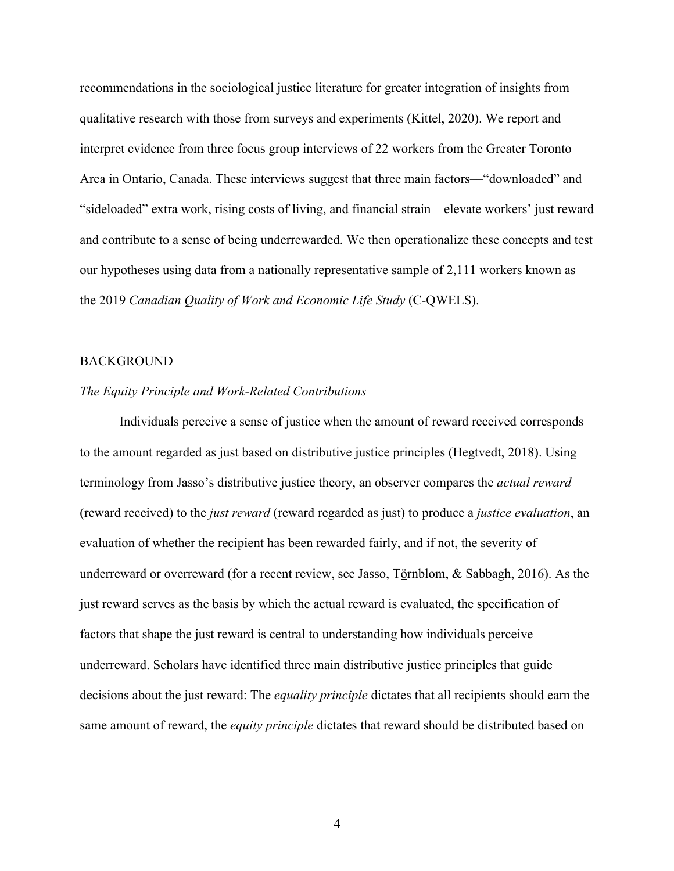recommendations in the sociological justice literature for greater integration of insights from qualitative research with those from surveys and experiments (Kittel, 2020). We report and interpret evidence from three focus group interviews of 22 workers from the Greater Toronto Area in Ontario, Canada. These interviews suggest that three main factors—"downloaded" and "sideloaded" extra work, rising costs of living, and financial strain––elevate workers' just reward and contribute to a sense of being underrewarded. We then operationalize these concepts and test our hypotheses using data from a nationally representative sample of 2,111 workers known as the 2019 *Canadian Quality of Work and Economic Life Study* (C-QWELS).

#### BACKGROUND

## *The Equity Principle and Work-Related Contributions*

Individuals perceive a sense of justice when the amount of reward received corresponds to the amount regarded as just based on distributive justice principles (Hegtvedt, 2018). Using terminology from Jasso's distributive justice theory, an observer compares the *actual reward* (reward received) to the *just reward* (reward regarded as just) to produce a *justice evaluation*, an evaluation of whether the recipient has been rewarded fairly, and if not, the severity of underreward or overreward (for a recent review, see Jasso, Törnblom, & Sabbagh, 2016). As the just reward serves as the basis by which the actual reward is evaluated, the specification of factors that shape the just reward is central to understanding how individuals perceive underreward. Scholars have identified three main distributive justice principles that guide decisions about the just reward: The *equality principle* dictates that all recipients should earn the same amount of reward, the *equity principle* dictates that reward should be distributed based on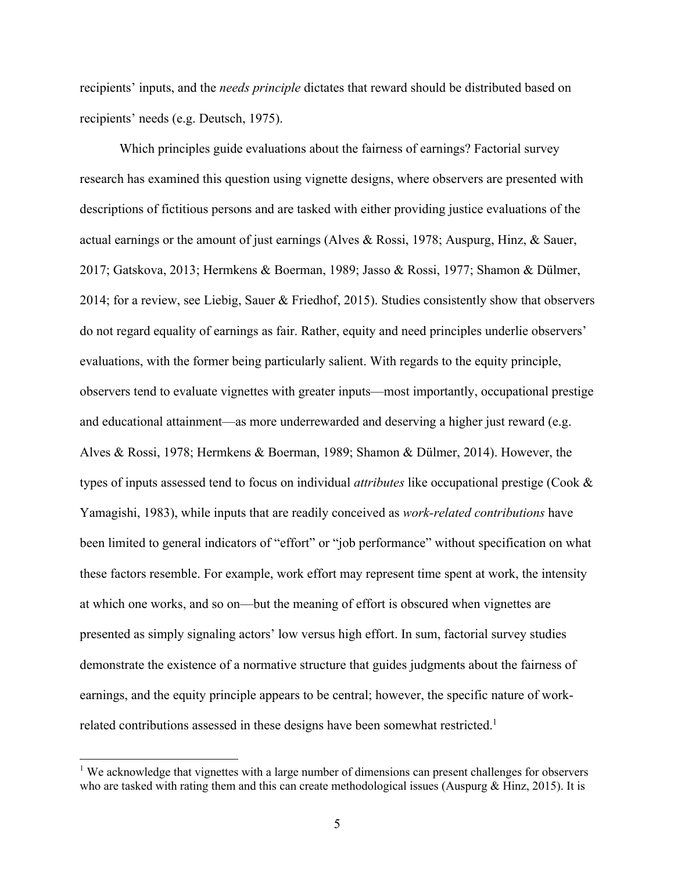recipients' inputs, and the *needs principle* dictates that reward should be distributed based on recipients' needs (e.g. Deutsch, 1975).

Which principles guide evaluations about the fairness of earnings? Factorial survey research has examined this question using vignette designs, where observers are presented with descriptions of fictitious persons and are tasked with either providing justice evaluations of the actual earnings or the amount of just earnings (Alves & Rossi, 1978; Auspurg, Hinz, & Sauer, 2017; Gatskova, 2013; Hermkens & Boerman, 1989; Jasso & Rossi, 1977; Shamon & Dülmer, 2014; for a review, see Liebig, Sauer & Friedhof, 2015). Studies consistently show that observers do not regard equality of earnings as fair. Rather, equity and need principles underlie observers' evaluations, with the former being particularly salient. With regards to the equity principle, observers tend to evaluate vignettes with greater inputs––most importantly, occupational prestige and educational attainment—as more underrewarded and deserving a higher just reward (e.g. Alves & Rossi, 1978; Hermkens & Boerman, 1989; Shamon & Dülmer, 2014). However, the types of inputs assessed tend to focus on individual *attributes* like occupational prestige (Cook & Yamagishi, 1983), while inputs that are readily conceived as *work-related contributions* have been limited to general indicators of "effort" or "job performance" without specification on what these factors resemble. For example, work effort may represent time spent at work, the intensity at which one works, and so on––but the meaning of effort is obscured when vignettes are presented as simply signaling actors' low versus high effort. In sum, factorial survey studies demonstrate the existence of a normative structure that guides judgments about the fairness of earnings, and the equity principle appears to be central; however, the specific nature of workrelated contributions assessed in these designs have been somewhat restricted.<sup>1</sup>

<sup>&</sup>lt;sup>1</sup> We acknowledge that vignettes with a large number of dimensions can present challenges for observers who are tasked with rating them and this can create methodological issues (Auspurg  $&$  Hinz, 2015). It is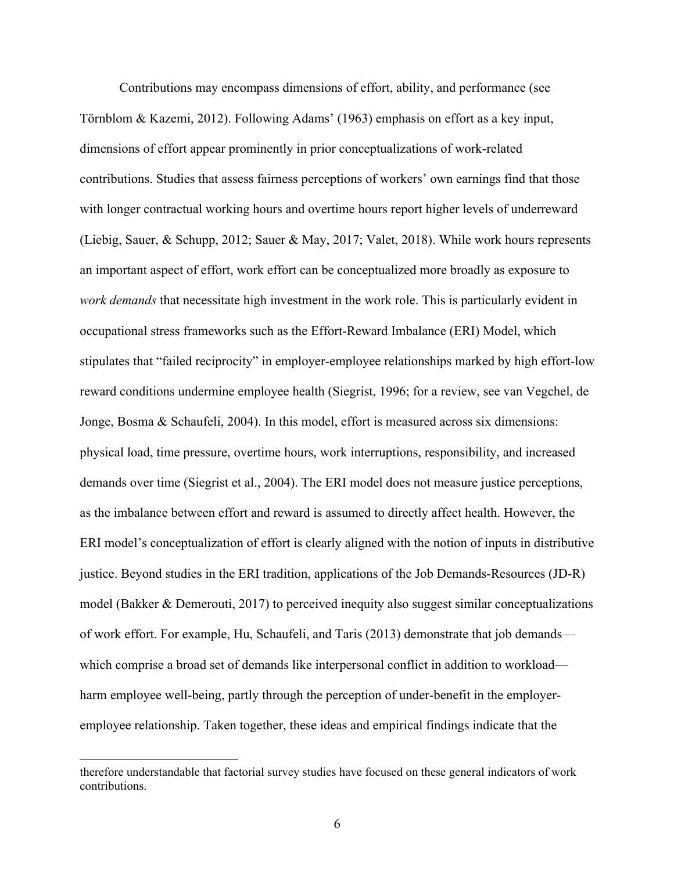Contributions may encompass dimensions of effort, ability, and performance (see Törnblom & Kazemi, 2012). Following Adams' (1963) emphasis on effort as a key input, dimensions of effort appear prominently in prior conceptualizations of work-related contributions. Studies that assess fairness perceptions of workers' own earnings find that those with longer contractual working hours and overtime hours report higher levels of underreward (Liebig, Sauer, & Schupp, 2012; Sauer & May, 2017; Valet, 2018). While work hours represents an important aspect of effort, work effort can be conceptualized more broadly as exposure to *work demands* that necessitate high investment in the work role. This is particularly evident in occupational stress frameworks such as the Effort-Reward Imbalance (ERI) Model, which stipulates that "failed reciprocity" in employer-employee relationships marked by high effort-low reward conditions undermine employee health (Siegrist, 1996; for a review, see van Vegchel, de Jonge, Bosma & Schaufeli, 2004). In this model, effort is measured across six dimensions: physical load, time pressure, overtime hours, work interruptions, responsibility, and increased demands over time (Siegrist et al., 2004). The ERI model does not measure justice perceptions, as the imbalance between effort and reward is assumed to directly affect health. However, the ERI model's conceptualization of effort is clearly aligned with the notion of inputs in distributive justice. Beyond studies in the ERI tradition, applications of the Job Demands-Resources (JD-R) model (Bakker & Demerouti, 2017) to perceived inequity also suggest similar conceptualizations of work effort. For example, Hu, Schaufeli, and Taris (2013) demonstrate that job demands–– which comprise a broad set of demands like interpersonal conflict in addition to workload harm employee well-being, partly through the perception of under-benefit in the employeremployee relationship. Taken together, these ideas and empirical findings indicate that the

therefore understandable that factorial survey studies have focused on these general indicators of work contributions.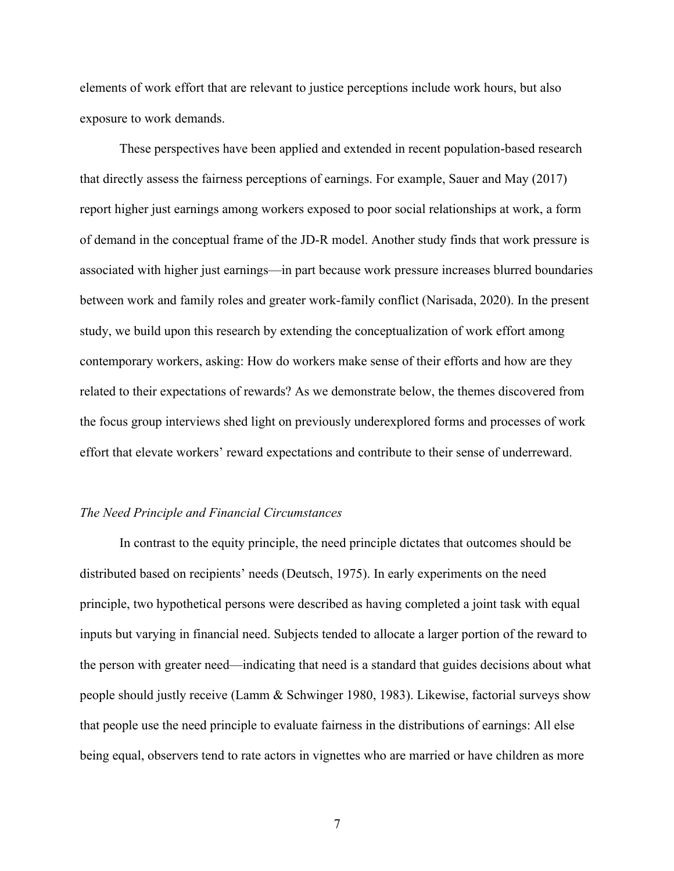elements of work effort that are relevant to justice perceptions include work hours, but also exposure to work demands.

These perspectives have been applied and extended in recent population-based research that directly assess the fairness perceptions of earnings. For example, Sauer and May (2017) report higher just earnings among workers exposed to poor social relationships at work, a form of demand in the conceptual frame of the JD-R model. Another study finds that work pressure is associated with higher just earnings––in part because work pressure increases blurred boundaries between work and family roles and greater work-family conflict (Narisada, 2020). In the present study, we build upon this research by extending the conceptualization of work effort among contemporary workers, asking: How do workers make sense of their efforts and how are they related to their expectations of rewards? As we demonstrate below, the themes discovered from the focus group interviews shed light on previously underexplored forms and processes of work effort that elevate workers' reward expectations and contribute to their sense of underreward.

#### *The Need Principle and Financial Circumstances*

In contrast to the equity principle, the need principle dictates that outcomes should be distributed based on recipients' needs (Deutsch, 1975). In early experiments on the need principle, two hypothetical persons were described as having completed a joint task with equal inputs but varying in financial need. Subjects tended to allocate a larger portion of the reward to the person with greater need––indicating that need is a standard that guides decisions about what people should justly receive (Lamm & Schwinger 1980, 1983). Likewise, factorial surveys show that people use the need principle to evaluate fairness in the distributions of earnings: All else being equal, observers tend to rate actors in vignettes who are married or have children as more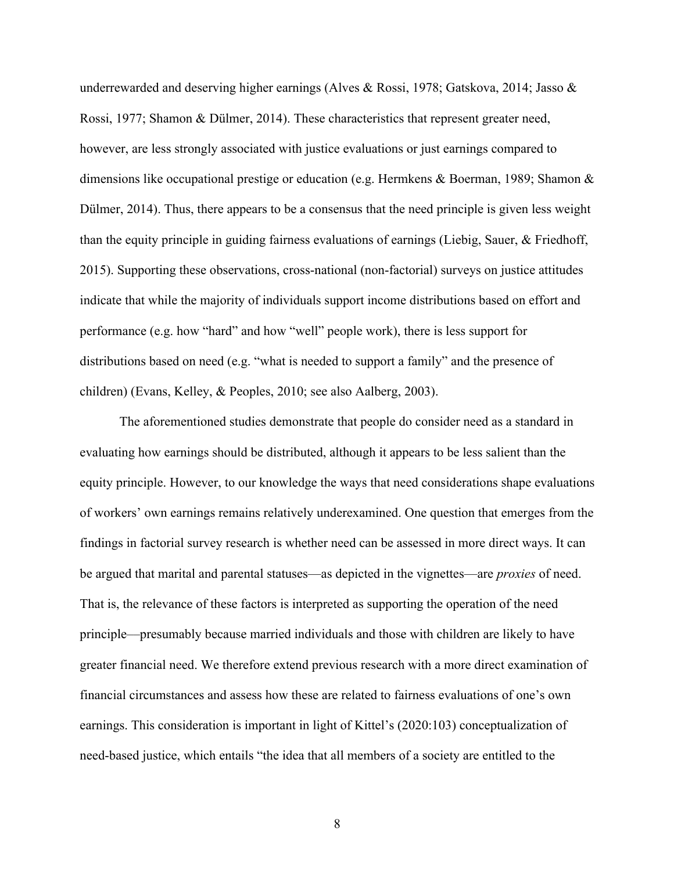underrewarded and deserving higher earnings (Alves & Rossi, 1978; Gatskova, 2014; Jasso & Rossi, 1977; Shamon & Dülmer, 2014). These characteristics that represent greater need, however, are less strongly associated with justice evaluations or just earnings compared to dimensions like occupational prestige or education (e.g. Hermkens & Boerman, 1989; Shamon & Dülmer, 2014). Thus, there appears to be a consensus that the need principle is given less weight than the equity principle in guiding fairness evaluations of earnings (Liebig, Sauer, & Friedhoff, 2015). Supporting these observations, cross-national (non-factorial) surveys on justice attitudes indicate that while the majority of individuals support income distributions based on effort and performance (e.g. how "hard" and how "well" people work), there is less support for distributions based on need (e.g. "what is needed to support a family" and the presence of children) (Evans, Kelley, & Peoples, 2010; see also Aalberg, 2003).

The aforementioned studies demonstrate that people do consider need as a standard in evaluating how earnings should be distributed, although it appears to be less salient than the equity principle. However, to our knowledge the ways that need considerations shape evaluations of workers' own earnings remains relatively underexamined. One question that emerges from the findings in factorial survey research is whether need can be assessed in more direct ways. It can be argued that marital and parental statuses—as depicted in the vignettes—are *proxies* of need. That is, the relevance of these factors is interpreted as supporting the operation of the need principle––presumably because married individuals and those with children are likely to have greater financial need. We therefore extend previous research with a more direct examination of financial circumstances and assess how these are related to fairness evaluations of one's own earnings. This consideration is important in light of Kittel's (2020:103) conceptualization of need-based justice, which entails "the idea that all members of a society are entitled to the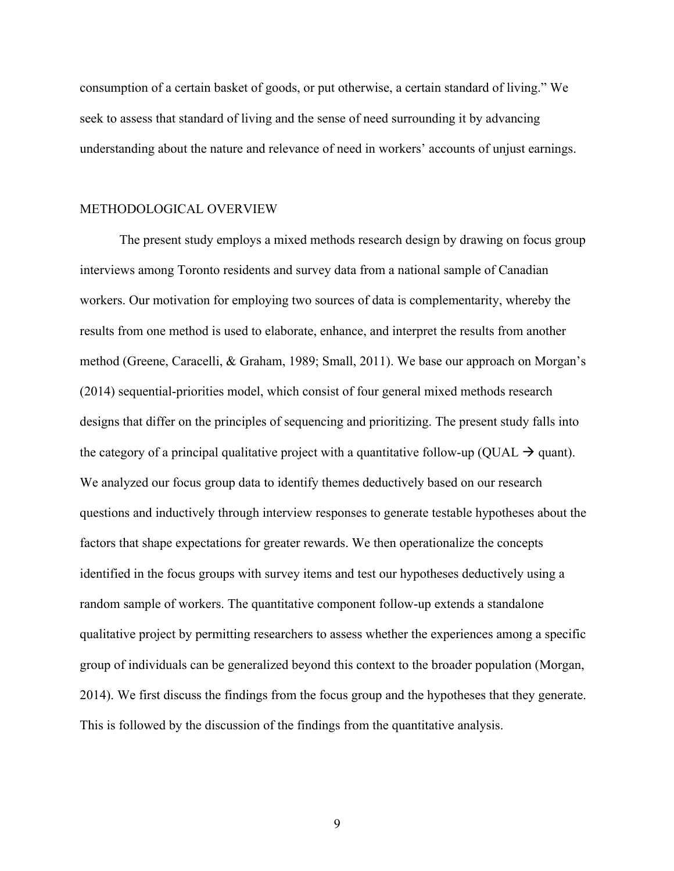consumption of a certain basket of goods, or put otherwise, a certain standard of living." We seek to assess that standard of living and the sense of need surrounding it by advancing understanding about the nature and relevance of need in workers' accounts of unjust earnings.

#### METHODOLOGICAL OVERVIEW

The present study employs a mixed methods research design by drawing on focus group interviews among Toronto residents and survey data from a national sample of Canadian workers. Our motivation for employing two sources of data is complementarity, whereby the results from one method is used to elaborate, enhance, and interpret the results from another method (Greene, Caracelli, & Graham, 1989; Small, 2011). We base our approach on Morgan's (2014) sequential-priorities model, which consist of four general mixed methods research designs that differ on the principles of sequencing and prioritizing. The present study falls into the category of a principal qualitative project with a quantitative follow-up (QUAL  $\rightarrow$  quant). We analyzed our focus group data to identify themes deductively based on our research questions and inductively through interview responses to generate testable hypotheses about the factors that shape expectations for greater rewards. We then operationalize the concepts identified in the focus groups with survey items and test our hypotheses deductively using a random sample of workers. The quantitative component follow-up extends a standalone qualitative project by permitting researchers to assess whether the experiences among a specific group of individuals can be generalized beyond this context to the broader population (Morgan, 2014). We first discuss the findings from the focus group and the hypotheses that they generate. This is followed by the discussion of the findings from the quantitative analysis.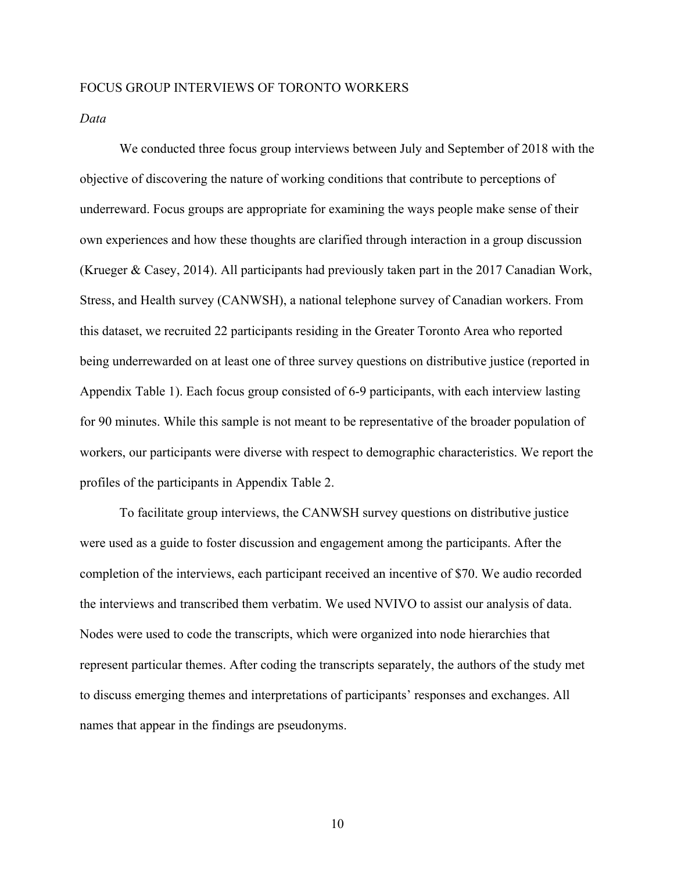#### FOCUS GROUP INTERVIEWS OF TORONTO WORKERS

*Data*

We conducted three focus group interviews between July and September of 2018 with the objective of discovering the nature of working conditions that contribute to perceptions of underreward. Focus groups are appropriate for examining the ways people make sense of their own experiences and how these thoughts are clarified through interaction in a group discussion (Krueger & Casey, 2014). All participants had previously taken part in the 2017 Canadian Work, Stress, and Health survey (CANWSH), a national telephone survey of Canadian workers. From this dataset, we recruited 22 participants residing in the Greater Toronto Area who reported being underrewarded on at least one of three survey questions on distributive justice (reported in Appendix Table 1). Each focus group consisted of 6-9 participants, with each interview lasting for 90 minutes. While this sample is not meant to be representative of the broader population of workers, our participants were diverse with respect to demographic characteristics. We report the profiles of the participants in Appendix Table 2.

To facilitate group interviews, the CANWSH survey questions on distributive justice were used as a guide to foster discussion and engagement among the participants. After the completion of the interviews, each participant received an incentive of \$70. We audio recorded the interviews and transcribed them verbatim. We used NVIVO to assist our analysis of data. Nodes were used to code the transcripts, which were organized into node hierarchies that represent particular themes. After coding the transcripts separately, the authors of the study met to discuss emerging themes and interpretations of participants' responses and exchanges. All names that appear in the findings are pseudonyms.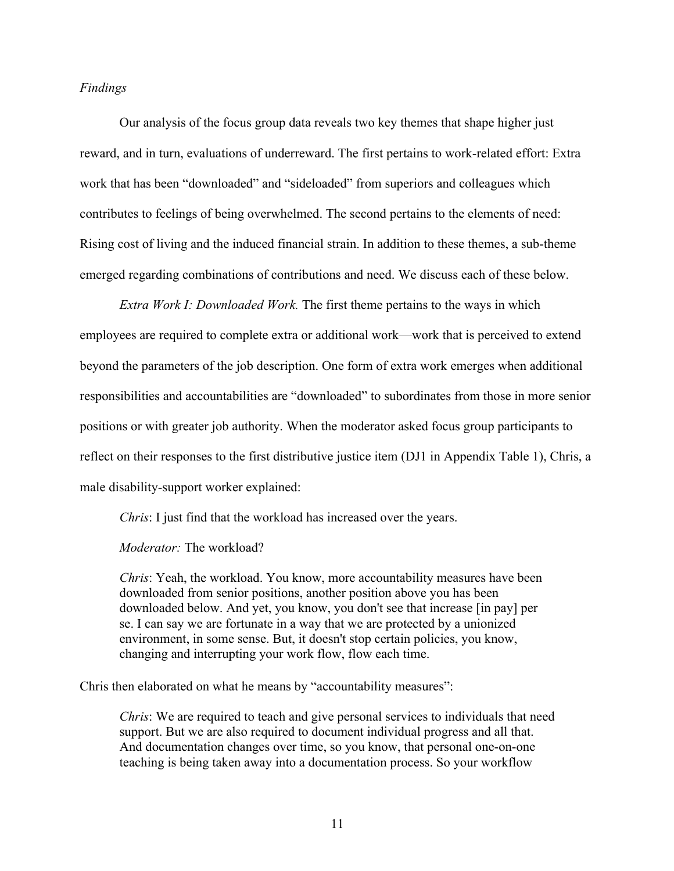## *Findings*

Our analysis of the focus group data reveals two key themes that shape higher just reward, and in turn, evaluations of underreward. The first pertains to work-related effort: Extra work that has been "downloaded" and "sideloaded" from superiors and colleagues which contributes to feelings of being overwhelmed. The second pertains to the elements of need: Rising cost of living and the induced financial strain. In addition to these themes, a sub-theme emerged regarding combinations of contributions and need. We discuss each of these below.

*Extra Work I: Downloaded Work.* The first theme pertains to the ways in which employees are required to complete extra or additional work—work that is perceived to extend beyond the parameters of the job description. One form of extra work emerges when additional responsibilities and accountabilities are "downloaded" to subordinates from those in more senior positions or with greater job authority. When the moderator asked focus group participants to reflect on their responses to the first distributive justice item (DJ1 in Appendix Table 1), Chris, a male disability-support worker explained:

*Chris*: I just find that the workload has increased over the years.

*Moderator:* The workload?

*Chris*: Yeah, the workload. You know, more accountability measures have been downloaded from senior positions, another position above you has been downloaded below. And yet, you know, you don't see that increase [in pay] per se. I can say we are fortunate in a way that we are protected by a unionized environment, in some sense. But, it doesn't stop certain policies, you know, changing and interrupting your work flow, flow each time.

Chris then elaborated on what he means by "accountability measures":

*Chris*: We are required to teach and give personal services to individuals that need support. But we are also required to document individual progress and all that. And documentation changes over time, so you know, that personal one-on-one teaching is being taken away into a documentation process. So your workflow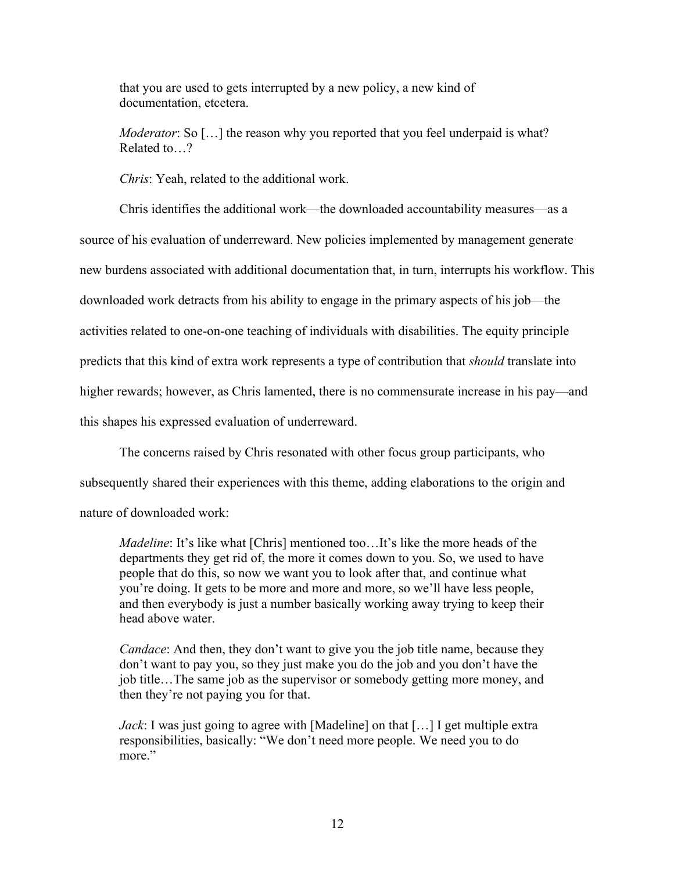that you are used to gets interrupted by a new policy, a new kind of documentation, etcetera.

*Moderator*: So [...] the reason why you reported that you feel underpaid is what? Related to 2

*Chris*: Yeah, related to the additional work.

Chris identifies the additional work––the downloaded accountability measures––as a source of his evaluation of underreward. New policies implemented by management generate new burdens associated with additional documentation that, in turn, interrupts his workflow. This downloaded work detracts from his ability to engage in the primary aspects of his job––the activities related to one-on-one teaching of individuals with disabilities. The equity principle predicts that this kind of extra work represents a type of contribution that *should* translate into higher rewards; however, as Chris lamented, there is no commensurate increase in his pay—and this shapes his expressed evaluation of underreward.

The concerns raised by Chris resonated with other focus group participants, who subsequently shared their experiences with this theme, adding elaborations to the origin and nature of downloaded work:

*Madeline*: It's like what [Chris] mentioned too...It's like the more heads of the departments they get rid of, the more it comes down to you. So, we used to have people that do this, so now we want you to look after that, and continue what you're doing. It gets to be more and more and more, so we'll have less people, and then everybody is just a number basically working away trying to keep their head above water.

*Candace*: And then, they don't want to give you the job title name, because they don't want to pay you, so they just make you do the job and you don't have the job title…The same job as the supervisor or somebody getting more money, and then they're not paying you for that.

*Jack*: I was just going to agree with [Madeline] on that [...] I get multiple extra responsibilities, basically: "We don't need more people. We need you to do more."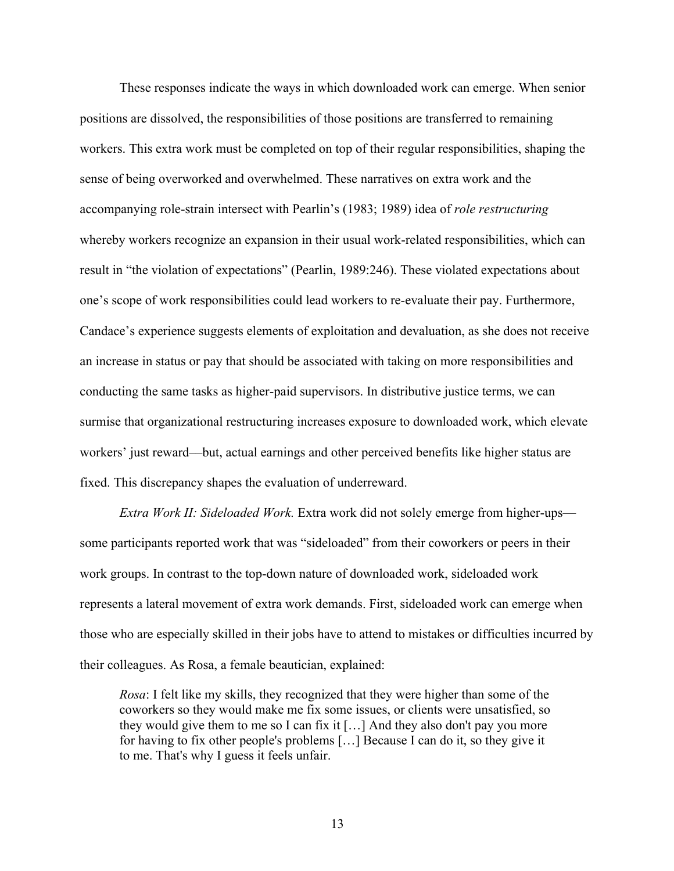These responses indicate the ways in which downloaded work can emerge. When senior positions are dissolved, the responsibilities of those positions are transferred to remaining workers. This extra work must be completed on top of their regular responsibilities, shaping the sense of being overworked and overwhelmed. These narratives on extra work and the accompanying role-strain intersect with Pearlin's (1983; 1989) idea of *role restructuring* whereby workers recognize an expansion in their usual work-related responsibilities, which can result in "the violation of expectations" (Pearlin, 1989:246). These violated expectations about one's scope of work responsibilities could lead workers to re-evaluate their pay. Furthermore, Candace's experience suggests elements of exploitation and devaluation, as she does not receive an increase in status or pay that should be associated with taking on more responsibilities and conducting the same tasks as higher-paid supervisors. In distributive justice terms, we can surmise that organizational restructuring increases exposure to downloaded work, which elevate workers' just reward––but, actual earnings and other perceived benefits like higher status are fixed. This discrepancy shapes the evaluation of underreward.

*Extra Work II: Sideloaded Work.* Extra work did not solely emerge from higher-ups some participants reported work that was "sideloaded" from their coworkers or peers in their work groups. In contrast to the top-down nature of downloaded work, sideloaded work represents a lateral movement of extra work demands. First, sideloaded work can emerge when those who are especially skilled in their jobs have to attend to mistakes or difficulties incurred by their colleagues. As Rosa, a female beautician, explained:

*Rosa*: I felt like my skills, they recognized that they were higher than some of the coworkers so they would make me fix some issues, or clients were unsatisfied, so they would give them to me so I can fix it […] And they also don't pay you more for having to fix other people's problems […] Because I can do it, so they give it to me. That's why I guess it feels unfair.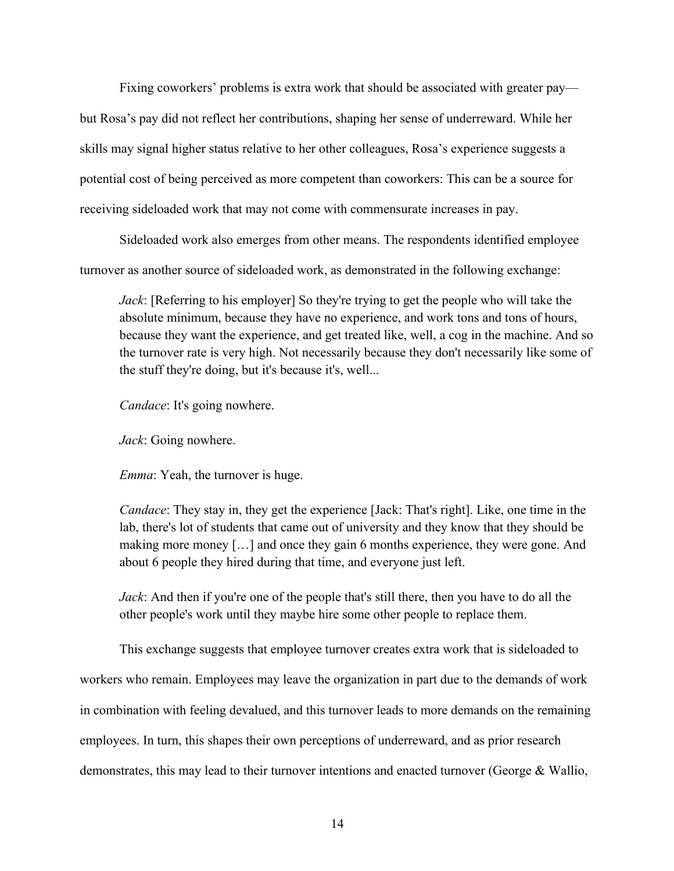Fixing coworkers' problems is extra work that should be associated with greater pay but Rosa's pay did not reflect her contributions, shaping her sense of underreward. While her skills may signal higher status relative to her other colleagues, Rosa's experience suggests a potential cost of being perceived as more competent than coworkers: This can be a source for receiving sideloaded work that may not come with commensurate increases in pay.

Sideloaded work also emerges from other means. The respondents identified employee turnover as another source of sideloaded work, as demonstrated in the following exchange:

*Jack*: [Referring to his employer] So they're trying to get the people who will take the absolute minimum, because they have no experience, and work tons and tons of hours, because they want the experience, and get treated like, well, a cog in the machine. And so the turnover rate is very high. Not necessarily because they don't necessarily like some of the stuff they're doing, but it's because it's, well...

*Candace*: It's going nowhere.

*Jack*: Going nowhere.

*Emma*: Yeah, the turnover is huge.

*Candace*: They stay in, they get the experience [Jack: That's right]. Like, one time in the lab, there's lot of students that came out of university and they know that they should be making more money […] and once they gain 6 months experience, they were gone. And about 6 people they hired during that time, and everyone just left.

*Jack*: And then if you're one of the people that's still there, then you have to do all the other people's work until they maybe hire some other people to replace them.

This exchange suggests that employee turnover creates extra work that is sideloaded to workers who remain. Employees may leave the organization in part due to the demands of work in combination with feeling devalued, and this turnover leads to more demands on the remaining employees. In turn, this shapes their own perceptions of underreward, and as prior research demonstrates, this may lead to their turnover intentions and enacted turnover (George & Wallio,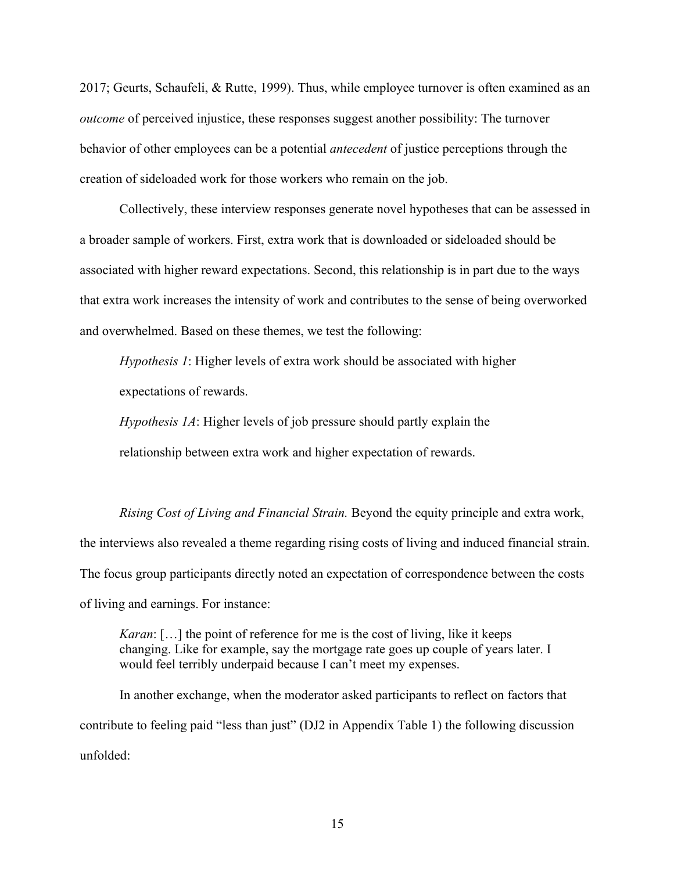2017; Geurts, Schaufeli, & Rutte, 1999). Thus, while employee turnover is often examined as an *outcome* of perceived injustice, these responses suggest another possibility: The turnover behavior of other employees can be a potential *antecedent* of justice perceptions through the creation of sideloaded work for those workers who remain on the job.

Collectively, these interview responses generate novel hypotheses that can be assessed in a broader sample of workers. First, extra work that is downloaded or sideloaded should be associated with higher reward expectations. Second, this relationship is in part due to the ways that extra work increases the intensity of work and contributes to the sense of being overworked and overwhelmed. Based on these themes, we test the following:

*Hypothesis 1*: Higher levels of extra work should be associated with higher expectations of rewards.

*Hypothesis 1A*: Higher levels of job pressure should partly explain the relationship between extra work and higher expectation of rewards.

*Rising Cost of Living and Financial Strain.* Beyond the equity principle and extra work, the interviews also revealed a theme regarding rising costs of living and induced financial strain. The focus group participants directly noted an expectation of correspondence between the costs of living and earnings. For instance:

*Karan*: […] the point of reference for me is the cost of living, like it keeps changing. Like for example, say the mortgage rate goes up couple of years later. I would feel terribly underpaid because I can't meet my expenses.

In another exchange, when the moderator asked participants to reflect on factors that contribute to feeling paid "less than just" (DJ2 in Appendix Table 1) the following discussion unfolded: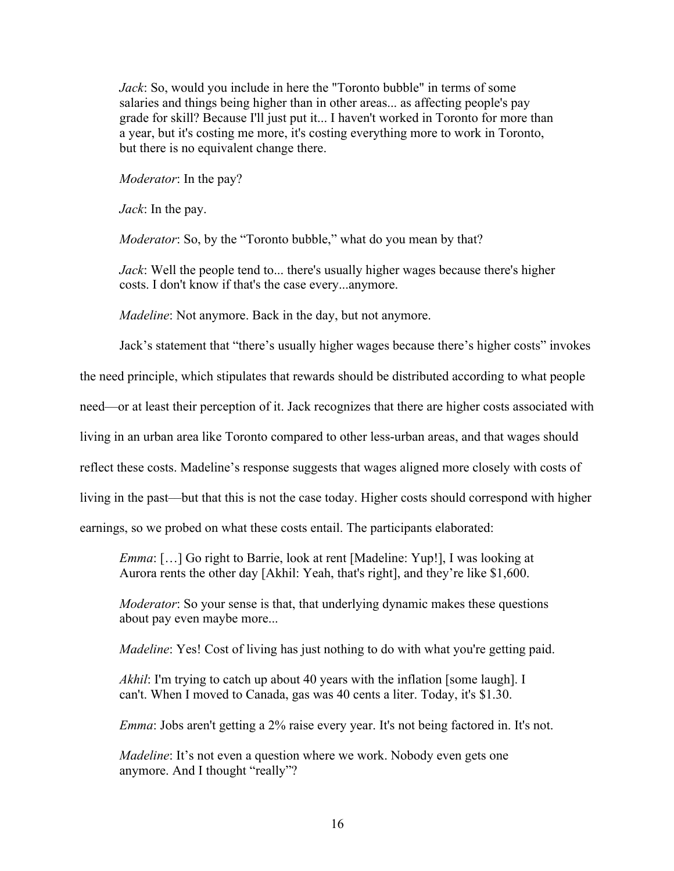*Jack*: So, would you include in here the "Toronto bubble" in terms of some salaries and things being higher than in other areas... as affecting people's pay grade for skill? Because I'll just put it... I haven't worked in Toronto for more than a year, but it's costing me more, it's costing everything more to work in Toronto, but there is no equivalent change there.

*Moderator*: In the pay?

*Jack*: In the pay.

*Moderator*: So, by the "Toronto bubble," what do you mean by that?

*Jack*: Well the people tend to... there's usually higher wages because there's higher costs. I don't know if that's the case every...anymore.

*Madeline*: Not anymore. Back in the day, but not anymore.

Jack's statement that "there's usually higher wages because there's higher costs" invokes

the need principle, which stipulates that rewards should be distributed according to what people

need—or at least their perception of it. Jack recognizes that there are higher costs associated with

living in an urban area like Toronto compared to other less-urban areas, and that wages should

reflect these costs. Madeline's response suggests that wages aligned more closely with costs of

living in the past––but that this is not the case today. Higher costs should correspond with higher

earnings, so we probed on what these costs entail. The participants elaborated:

*Emma*: […] Go right to Barrie, look at rent [Madeline: Yup!], I was looking at Aurora rents the other day [Akhil: Yeah, that's right], and they're like \$1,600.

*Moderator*: So your sense is that, that underlying dynamic makes these questions about pay even maybe more...

*Madeline*: Yes! Cost of living has just nothing to do with what you're getting paid.

*Akhil*: I'm trying to catch up about 40 years with the inflation [some laugh]. I can't. When I moved to Canada, gas was 40 cents a liter. Today, it's \$1.30.

*Emma*: Jobs aren't getting a 2% raise every year. It's not being factored in. It's not.

*Madeline*: It's not even a question where we work. Nobody even gets one anymore. And I thought "really"?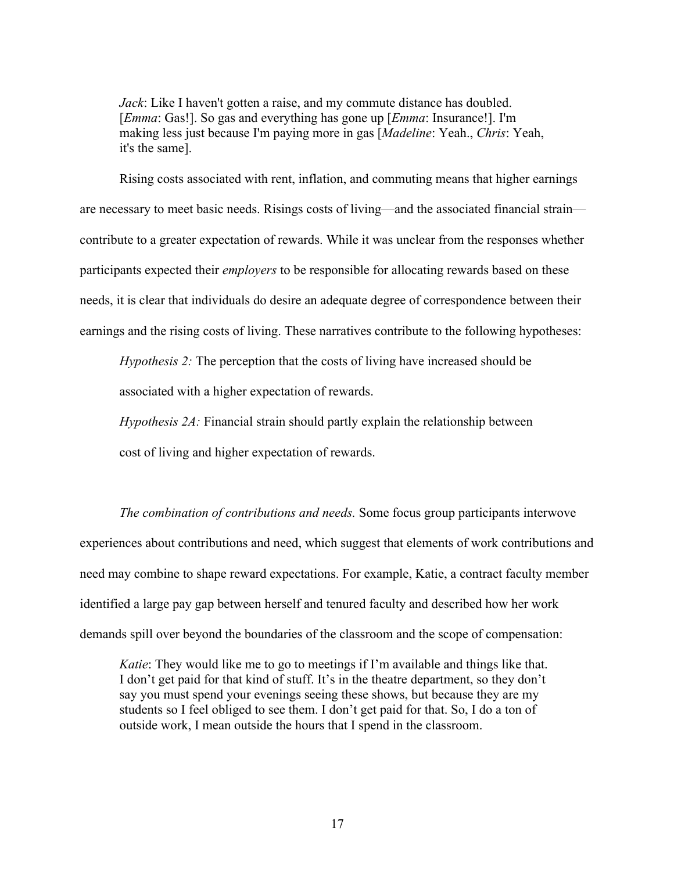*Jack*: Like I haven't gotten a raise, and my commute distance has doubled. [*Emma*: Gas!]. So gas and everything has gone up [*Emma*: Insurance!]. I'm making less just because I'm paying more in gas [*Madeline*: Yeah., *Chris*: Yeah, it's the same].

Rising costs associated with rent, inflation, and commuting means that higher earnings are necessary to meet basic needs. Risings costs of living––and the associated financial strain–– contribute to a greater expectation of rewards. While it was unclear from the responses whether participants expected their *employers* to be responsible for allocating rewards based on these needs, it is clear that individuals do desire an adequate degree of correspondence between their earnings and the rising costs of living. These narratives contribute to the following hypotheses:

*Hypothesis 2:* The perception that the costs of living have increased should be

associated with a higher expectation of rewards.

*Hypothesis 2A:* Financial strain should partly explain the relationship between

cost of living and higher expectation of rewards.

*The combination of contributions and needs.* Some focus group participants interwove experiences about contributions and need, which suggest that elements of work contributions and need may combine to shape reward expectations. For example, Katie, a contract faculty member identified a large pay gap between herself and tenured faculty and described how her work demands spill over beyond the boundaries of the classroom and the scope of compensation:

*Katie*: They would like me to go to meetings if I'm available and things like that. I don't get paid for that kind of stuff. It's in the theatre department, so they don't say you must spend your evenings seeing these shows, but because they are my students so I feel obliged to see them. I don't get paid for that. So, I do a ton of outside work, I mean outside the hours that I spend in the classroom.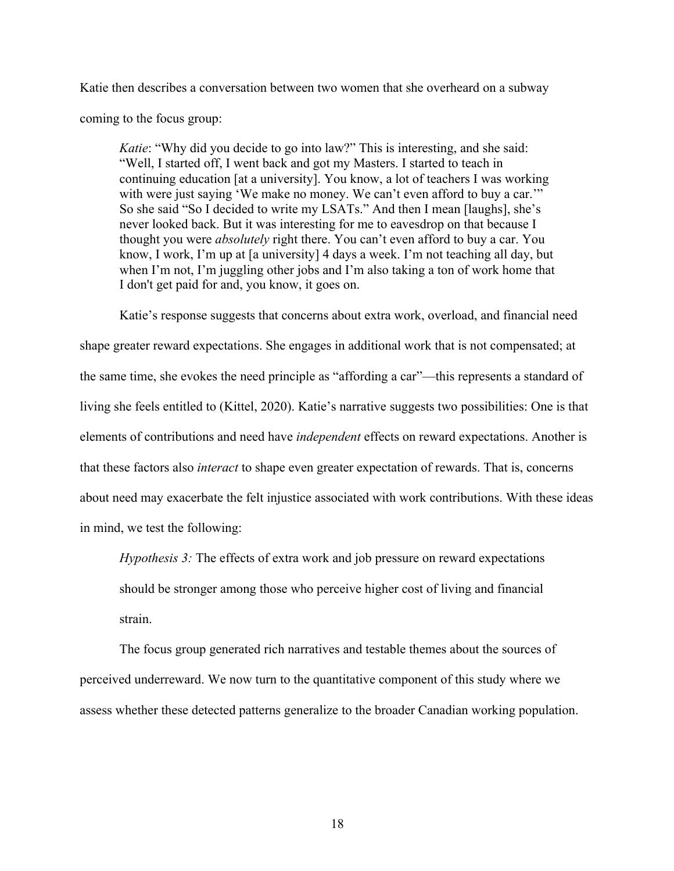Katie then describes a conversation between two women that she overheard on a subway coming to the focus group:

*Katie*: "Why did you decide to go into law?" This is interesting, and she said: "Well, I started off, I went back and got my Masters. I started to teach in continuing education [at a university]. You know, a lot of teachers I was working with were just saying 'We make no money. We can't even afford to buy a car." So she said "So I decided to write my LSATs." And then I mean [laughs], she's never looked back. But it was interesting for me to eavesdrop on that because I thought you were *absolutely* right there. You can't even afford to buy a car. You know, I work, I'm up at [a university] 4 days a week. I'm not teaching all day, but when I'm not, I'm juggling other jobs and I'm also taking a ton of work home that I don't get paid for and, you know, it goes on.

Katie's response suggests that concerns about extra work, overload, and financial need shape greater reward expectations. She engages in additional work that is not compensated; at the same time, she evokes the need principle as "affording a car"—this represents a standard of living she feels entitled to (Kittel, 2020). Katie's narrative suggests two possibilities: One is that elements of contributions and need have *independent* effects on reward expectations. Another is that these factors also *interact* to shape even greater expectation of rewards. That is, concerns about need may exacerbate the felt injustice associated with work contributions. With these ideas in mind, we test the following:

*Hypothesis 3:* The effects of extra work and job pressure on reward expectations should be stronger among those who perceive higher cost of living and financial strain.

The focus group generated rich narratives and testable themes about the sources of perceived underreward. We now turn to the quantitative component of this study where we assess whether these detected patterns generalize to the broader Canadian working population.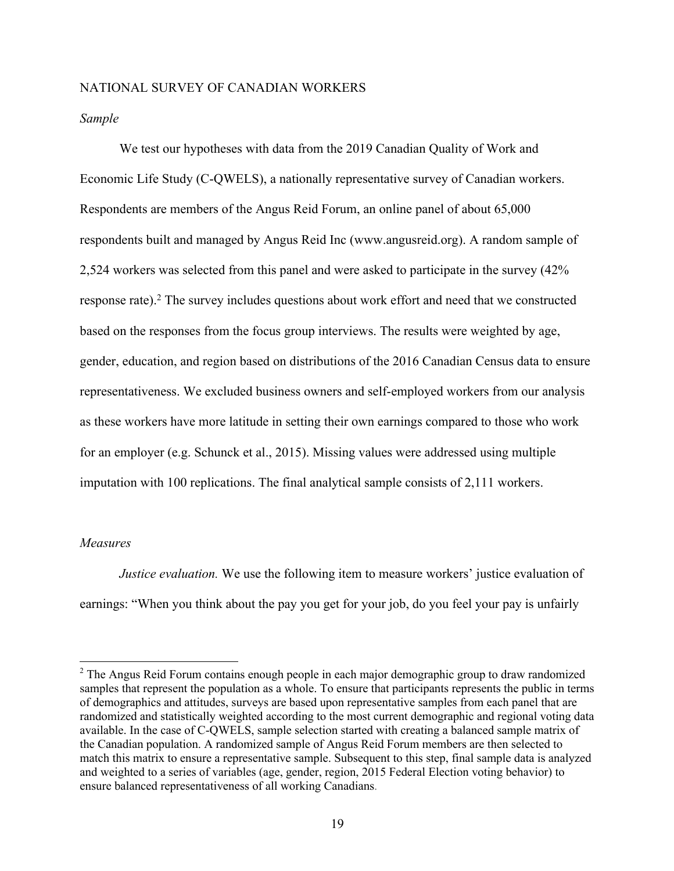#### NATIONAL SURVEY OF CANADIAN WORKERS

#### *Sample*

We test our hypotheses with data from the 2019 Canadian Quality of Work and Economic Life Study (C-QWELS), a nationally representative survey of Canadian workers. Respondents are members of the Angus Reid Forum, an online panel of about 65,000 respondents built and managed by Angus Reid Inc (www.angusreid.org). A random sample of 2,524 workers was selected from this panel and were asked to participate in the survey (42% response rate).<sup>2</sup> The survey includes questions about work effort and need that we constructed based on the responses from the focus group interviews. The results were weighted by age, gender, education, and region based on distributions of the 2016 Canadian Census data to ensure representativeness. We excluded business owners and self-employed workers from our analysis as these workers have more latitude in setting their own earnings compared to those who work for an employer (e.g. Schunck et al., 2015). Missing values were addressed using multiple imputation with 100 replications. The final analytical sample consists of 2,111 workers.

#### *Measures*

*Justice evaluation.* We use the following item to measure workers' justice evaluation of earnings: "When you think about the pay you get for your job, do you feel your pay is unfairly

<sup>&</sup>lt;sup>2</sup> The Angus Reid Forum contains enough people in each major demographic group to draw randomized samples that represent the population as a whole. To ensure that participants represents the public in terms of demographics and attitudes, surveys are based upon representative samples from each panel that are randomized and statistically weighted according to the most current demographic and regional voting data available. In the case of C-QWELS, sample selection started with creating a balanced sample matrix of the Canadian population. A randomized sample of Angus Reid Forum members are then selected to match this matrix to ensure a representative sample. Subsequent to this step, final sample data is analyzed and weighted to a series of variables (age, gender, region, 2015 Federal Election voting behavior) to ensure balanced representativeness of all working Canadians.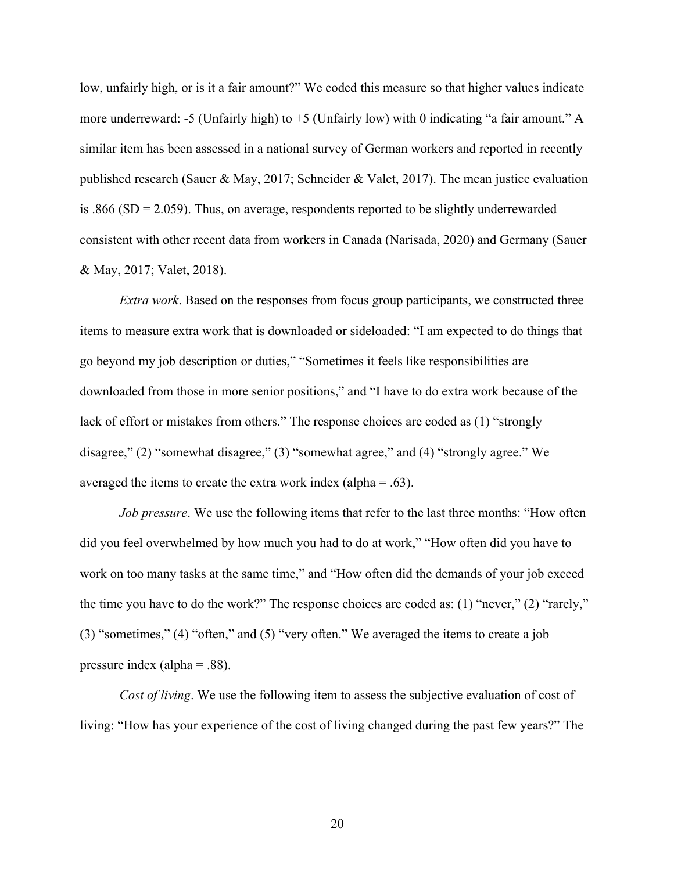low, unfairly high, or is it a fair amount?" We coded this measure so that higher values indicate more underreward: -5 (Unfairly high) to  $+5$  (Unfairly low) with 0 indicating "a fair amount." A similar item has been assessed in a national survey of German workers and reported in recently published research (Sauer & May, 2017; Schneider & Valet, 2017). The mean justice evaluation is .866 (SD = 2.059). Thus, on average, respondents reported to be slightly underrewarded consistent with other recent data from workers in Canada (Narisada, 2020) and Germany (Sauer & May, 2017; Valet, 2018).

*Extra work*. Based on the responses from focus group participants, we constructed three items to measure extra work that is downloaded or sideloaded: "I am expected to do things that go beyond my job description or duties," "Sometimes it feels like responsibilities are downloaded from those in more senior positions," and "I have to do extra work because of the lack of effort or mistakes from others." The response choices are coded as (1) "strongly disagree," (2) "somewhat disagree," (3) "somewhat agree," and (4) "strongly agree." We averaged the items to create the extra work index (alpha  $= .63$ ).

*Job pressure*. We use the following items that refer to the last three months: "How often did you feel overwhelmed by how much you had to do at work," "How often did you have to work on too many tasks at the same time," and "How often did the demands of your job exceed the time you have to do the work?" The response choices are coded as: (1) "never," (2) "rarely," (3) "sometimes," (4) "often," and (5) "very often." We averaged the items to create a job pressure index (alpha = .88).

*Cost of living*. We use the following item to assess the subjective evaluation of cost of living: "How has your experience of the cost of living changed during the past few years?" The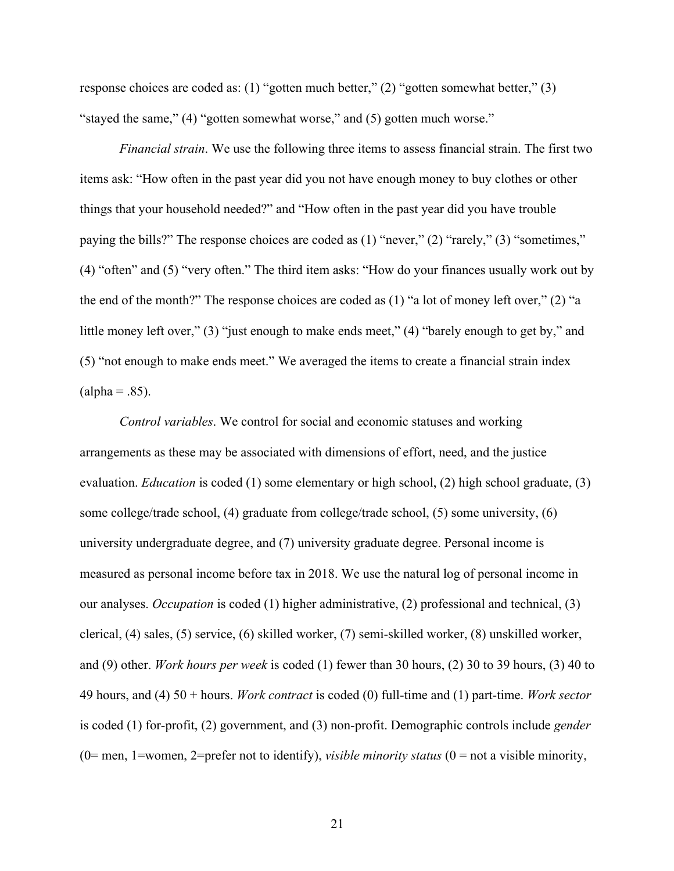response choices are coded as: (1) "gotten much better," (2) "gotten somewhat better," (3) "stayed the same," (4) "gotten somewhat worse," and (5) gotten much worse."

*Financial strain*. We use the following three items to assess financial strain. The first two items ask: "How often in the past year did you not have enough money to buy clothes or other things that your household needed?" and "How often in the past year did you have trouble paying the bills?" The response choices are coded as (1) "never," (2) "rarely," (3) "sometimes," (4) "often" and (5) "very often." The third item asks: "How do your finances usually work out by the end of the month?" The response choices are coded as (1) "a lot of money left over," (2) "a little money left over," (3) "just enough to make ends meet," (4) "barely enough to get by," and (5) "not enough to make ends meet." We averaged the items to create a financial strain index  $\text{(alpha = .85)}.$ 

*Control variables*. We control for social and economic statuses and working arrangements as these may be associated with dimensions of effort, need, and the justice evaluation. *Education* is coded (1) some elementary or high school, (2) high school graduate, (3) some college/trade school, (4) graduate from college/trade school, (5) some university, (6) university undergraduate degree, and (7) university graduate degree. Personal income is measured as personal income before tax in 2018. We use the natural log of personal income in our analyses. *Occupation* is coded (1) higher administrative, (2) professional and technical, (3) clerical, (4) sales, (5) service, (6) skilled worker, (7) semi-skilled worker, (8) unskilled worker, and (9) other. *Work hours per week* is coded (1) fewer than 30 hours, (2) 30 to 39 hours, (3) 40 to 49 hours, and (4) 50 + hours. *Work contract* is coded (0) full-time and (1) part-time. *Work sector* is coded (1) for-profit, (2) government, and (3) non-profit. Demographic controls include *gender* (0= men, 1=women, 2=prefer not to identify), *visible minority status* (0 = not a visible minority,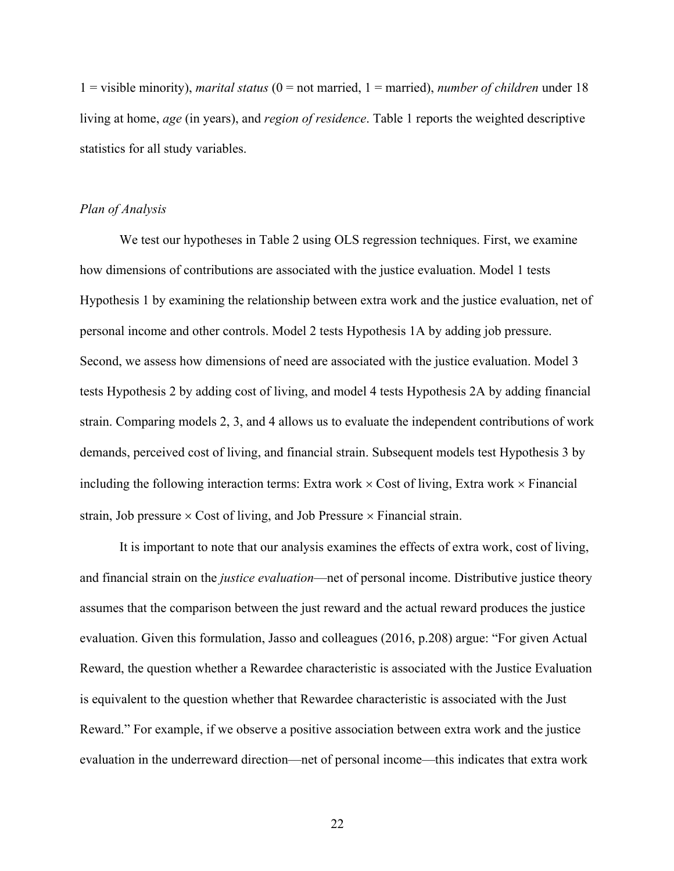1 = visible minority), *marital status* (0 = not married, 1 = married), *number of children* under 18 living at home, *age* (in years), and *region of residence*. Table 1 reports the weighted descriptive statistics for all study variables.

#### *Plan of Analysis*

We test our hypotheses in Table 2 using OLS regression techniques. First, we examine how dimensions of contributions are associated with the justice evaluation. Model 1 tests Hypothesis 1 by examining the relationship between extra work and the justice evaluation, net of personal income and other controls. Model 2 tests Hypothesis 1A by adding job pressure. Second, we assess how dimensions of need are associated with the justice evaluation. Model 3 tests Hypothesis 2 by adding cost of living, and model 4 tests Hypothesis 2A by adding financial strain. Comparing models 2, 3, and 4 allows us to evaluate the independent contributions of work demands, perceived cost of living, and financial strain. Subsequent models test Hypothesis 3 by including the following interaction terms: Extra work  $\times$  Cost of living, Extra work  $\times$  Financial strain, Job pressure  $\times$  Cost of living, and Job Pressure  $\times$  Financial strain.

It is important to note that our analysis examines the effects of extra work, cost of living, and financial strain on the *justice evaluation*—net of personal income. Distributive justice theory assumes that the comparison between the just reward and the actual reward produces the justice evaluation. Given this formulation, Jasso and colleagues (2016, p.208) argue: "For given Actual Reward, the question whether a Rewardee characteristic is associated with the Justice Evaluation is equivalent to the question whether that Rewardee characteristic is associated with the Just Reward." For example, if we observe a positive association between extra work and the justice evaluation in the underreward direction––net of personal income––this indicates that extra work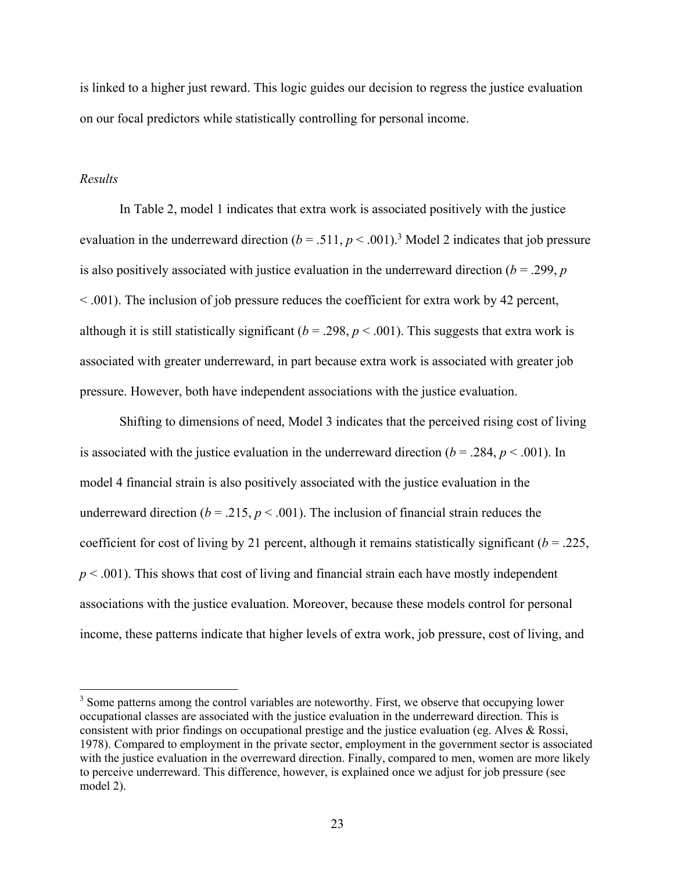is linked to a higher just reward. This logic guides our decision to regress the justice evaluation on our focal predictors while statistically controlling for personal income.

## *Results*

In Table 2, model 1 indicates that extra work is associated positively with the justice evaluation in the underreward direction  $(b = .511, p < .001)$ .<sup>3</sup> Model 2 indicates that job pressure is also positively associated with justice evaluation in the underreward direction  $(b = .299, p$ < .001). The inclusion of job pressure reduces the coefficient for extra work by 42 percent, although it is still statistically significant ( $b = .298$ ,  $p < .001$ ). This suggests that extra work is associated with greater underreward, in part because extra work is associated with greater job pressure. However, both have independent associations with the justice evaluation.

Shifting to dimensions of need, Model 3 indicates that the perceived rising cost of living is associated with the justice evaluation in the underreward direction  $(b = .284, p < .001)$ . In model 4 financial strain is also positively associated with the justice evaluation in the underreward direction ( $b = .215$ ,  $p < .001$ ). The inclusion of financial strain reduces the coefficient for cost of living by 21 percent, although it remains statistically significant (*b* = .225,  $p < .001$ ). This shows that cost of living and financial strain each have mostly independent associations with the justice evaluation. Moreover, because these models control for personal income, these patterns indicate that higher levels of extra work, job pressure, cost of living, and

<sup>&</sup>lt;sup>3</sup> Some patterns among the control variables are noteworthy. First, we observe that occupying lower occupational classes are associated with the justice evaluation in the underreward direction. This is consistent with prior findings on occupational prestige and the justice evaluation (eg. Alves & Rossi, 1978). Compared to employment in the private sector, employment in the government sector is associated with the justice evaluation in the overreward direction. Finally, compared to men, women are more likely to perceive underreward. This difference, however, is explained once we adjust for job pressure (see model 2).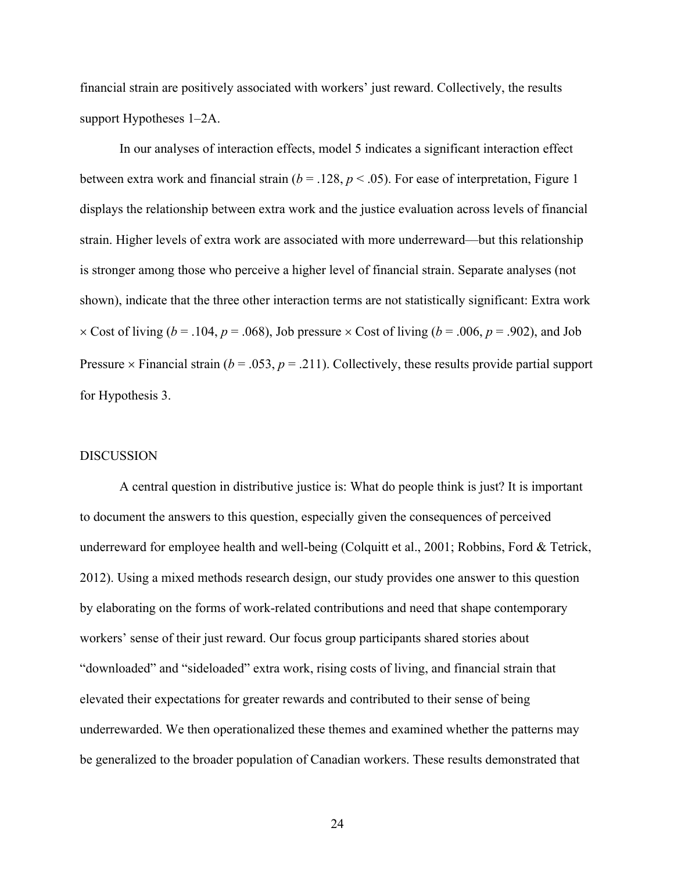financial strain are positively associated with workers' just reward. Collectively, the results support Hypotheses 1–2A.

In our analyses of interaction effects, model 5 indicates a significant interaction effect between extra work and financial strain ( $b = 0.128$ ,  $p < 0.05$ ). For ease of interpretation, Figure 1 displays the relationship between extra work and the justice evaluation across levels of financial strain. Higher levels of extra work are associated with more underreward––but this relationship is stronger among those who perceive a higher level of financial strain. Separate analyses (not shown), indicate that the three other interaction terms are not statistically significant: Extra work  $\times$  Cost of living (*b* = .104, *p* = .068), Job pressure  $\times$  Cost of living (*b* = .006, *p* = .902), and Job Pressure  $\times$  Financial strain ( $b = .053$ ,  $p = .211$ ). Collectively, these results provide partial support for Hypothesis 3.

#### DISCUSSION

A central question in distributive justice is: What do people think is just? It is important to document the answers to this question, especially given the consequences of perceived underreward for employee health and well-being (Colquitt et al., 2001; Robbins, Ford & Tetrick, 2012). Using a mixed methods research design, our study provides one answer to this question by elaborating on the forms of work-related contributions and need that shape contemporary workers' sense of their just reward. Our focus group participants shared stories about "downloaded" and "sideloaded" extra work, rising costs of living, and financial strain that elevated their expectations for greater rewards and contributed to their sense of being underrewarded. We then operationalized these themes and examined whether the patterns may be generalized to the broader population of Canadian workers. These results demonstrated that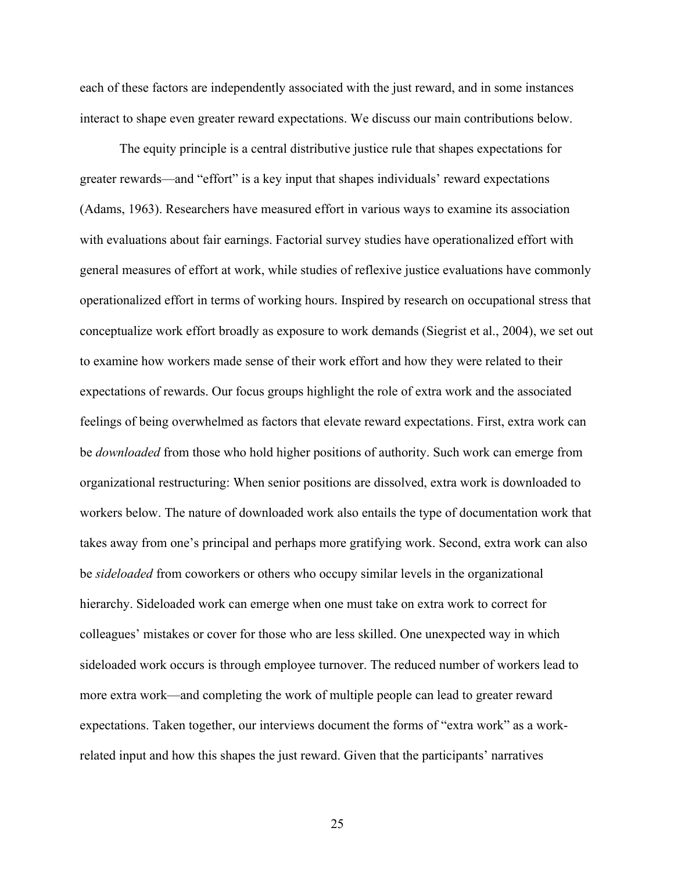each of these factors are independently associated with the just reward, and in some instances interact to shape even greater reward expectations. We discuss our main contributions below.

The equity principle is a central distributive justice rule that shapes expectations for greater rewards––and "effort" is a key input that shapes individuals' reward expectations (Adams, 1963). Researchers have measured effort in various ways to examine its association with evaluations about fair earnings. Factorial survey studies have operationalized effort with general measures of effort at work, while studies of reflexive justice evaluations have commonly operationalized effort in terms of working hours. Inspired by research on occupational stress that conceptualize work effort broadly as exposure to work demands (Siegrist et al., 2004), we set out to examine how workers made sense of their work effort and how they were related to their expectations of rewards. Our focus groups highlight the role of extra work and the associated feelings of being overwhelmed as factors that elevate reward expectations. First, extra work can be *downloaded* from those who hold higher positions of authority. Such work can emerge from organizational restructuring: When senior positions are dissolved, extra work is downloaded to workers below. The nature of downloaded work also entails the type of documentation work that takes away from one's principal and perhaps more gratifying work. Second, extra work can also be *sideloaded* from coworkers or others who occupy similar levels in the organizational hierarchy. Sideloaded work can emerge when one must take on extra work to correct for colleagues' mistakes or cover for those who are less skilled. One unexpected way in which sideloaded work occurs is through employee turnover. The reduced number of workers lead to more extra work—and completing the work of multiple people can lead to greater reward expectations. Taken together, our interviews document the forms of "extra work" as a workrelated input and how this shapes the just reward. Given that the participants' narratives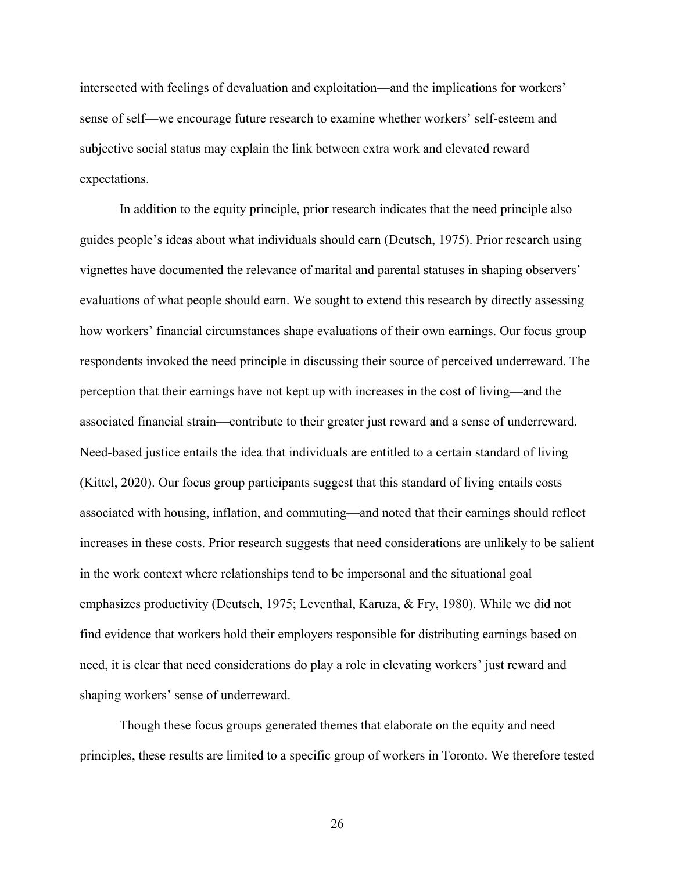intersected with feelings of devaluation and exploitation—and the implications for workers' sense of self—we encourage future research to examine whether workers' self-esteem and subjective social status may explain the link between extra work and elevated reward expectations.

In addition to the equity principle, prior research indicates that the need principle also guides people's ideas about what individuals should earn (Deutsch, 1975). Prior research using vignettes have documented the relevance of marital and parental statuses in shaping observers' evaluations of what people should earn. We sought to extend this research by directly assessing how workers' financial circumstances shape evaluations of their own earnings. Our focus group respondents invoked the need principle in discussing their source of perceived underreward. The perception that their earnings have not kept up with increases in the cost of living––and the associated financial strain––contribute to their greater just reward and a sense of underreward. Need-based justice entails the idea that individuals are entitled to a certain standard of living (Kittel, 2020). Our focus group participants suggest that this standard of living entails costs associated with housing, inflation, and commuting––and noted that their earnings should reflect increases in these costs. Prior research suggests that need considerations are unlikely to be salient in the work context where relationships tend to be impersonal and the situational goal emphasizes productivity (Deutsch, 1975; Leventhal, Karuza, & Fry, 1980). While we did not find evidence that workers hold their employers responsible for distributing earnings based on need, it is clear that need considerations do play a role in elevating workers' just reward and shaping workers' sense of underreward.

Though these focus groups generated themes that elaborate on the equity and need principles, these results are limited to a specific group of workers in Toronto. We therefore tested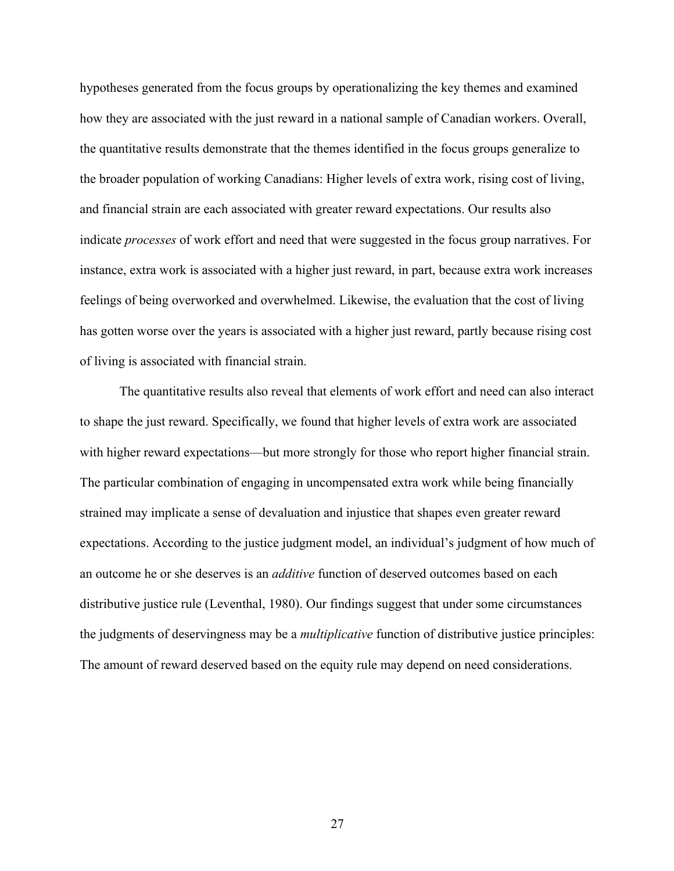hypotheses generated from the focus groups by operationalizing the key themes and examined how they are associated with the just reward in a national sample of Canadian workers. Overall, the quantitative results demonstrate that the themes identified in the focus groups generalize to the broader population of working Canadians: Higher levels of extra work, rising cost of living, and financial strain are each associated with greater reward expectations. Our results also indicate *processes* of work effort and need that were suggested in the focus group narratives. For instance, extra work is associated with a higher just reward, in part, because extra work increases feelings of being overworked and overwhelmed. Likewise, the evaluation that the cost of living has gotten worse over the years is associated with a higher just reward, partly because rising cost of living is associated with financial strain.

The quantitative results also reveal that elements of work effort and need can also interact to shape the just reward. Specifically, we found that higher levels of extra work are associated with higher reward expectations—but more strongly for those who report higher financial strain. The particular combination of engaging in uncompensated extra work while being financially strained may implicate a sense of devaluation and injustice that shapes even greater reward expectations. According to the justice judgment model, an individual's judgment of how much of an outcome he or she deserves is an *additive* function of deserved outcomes based on each distributive justice rule (Leventhal, 1980). Our findings suggest that under some circumstances the judgments of deservingness may be a *multiplicative* function of distributive justice principles: The amount of reward deserved based on the equity rule may depend on need considerations.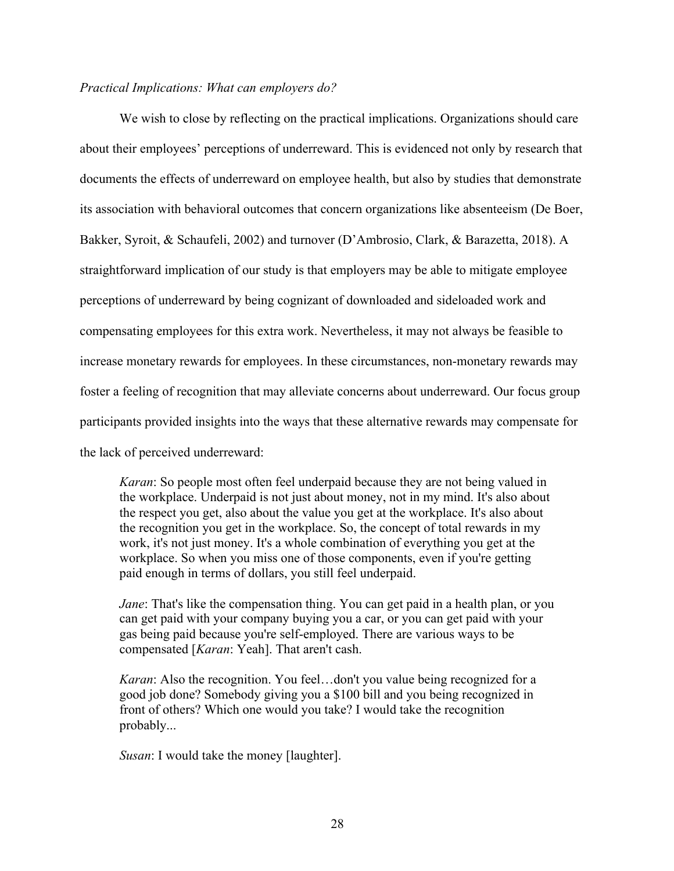## *Practical Implications: What can employers do?*

We wish to close by reflecting on the practical implications. Organizations should care about their employees' perceptions of underreward. This is evidenced not only by research that documents the effects of underreward on employee health, but also by studies that demonstrate its association with behavioral outcomes that concern organizations like absenteeism (De Boer, Bakker, Syroit, & Schaufeli, 2002) and turnover (D'Ambrosio, Clark, & Barazetta, 2018). A straightforward implication of our study is that employers may be able to mitigate employee perceptions of underreward by being cognizant of downloaded and sideloaded work and compensating employees for this extra work. Nevertheless, it may not always be feasible to increase monetary rewards for employees. In these circumstances, non-monetary rewards may foster a feeling of recognition that may alleviate concerns about underreward. Our focus group participants provided insights into the ways that these alternative rewards may compensate for the lack of perceived underreward:

*Karan*: So people most often feel underpaid because they are not being valued in the workplace. Underpaid is not just about money, not in my mind. It's also about the respect you get, also about the value you get at the workplace. It's also about the recognition you get in the workplace. So, the concept of total rewards in my work, it's not just money. It's a whole combination of everything you get at the workplace. So when you miss one of those components, even if you're getting paid enough in terms of dollars, you still feel underpaid.

*Jane*: That's like the compensation thing. You can get paid in a health plan, or you can get paid with your company buying you a car, or you can get paid with your gas being paid because you're self-employed. There are various ways to be compensated [*Karan*: Yeah]. That aren't cash.

*Karan*: Also the recognition. You feel…don't you value being recognized for a good job done? Somebody giving you a \$100 bill and you being recognized in front of others? Which one would you take? I would take the recognition probably...

*Susan*: I would take the money [laughter].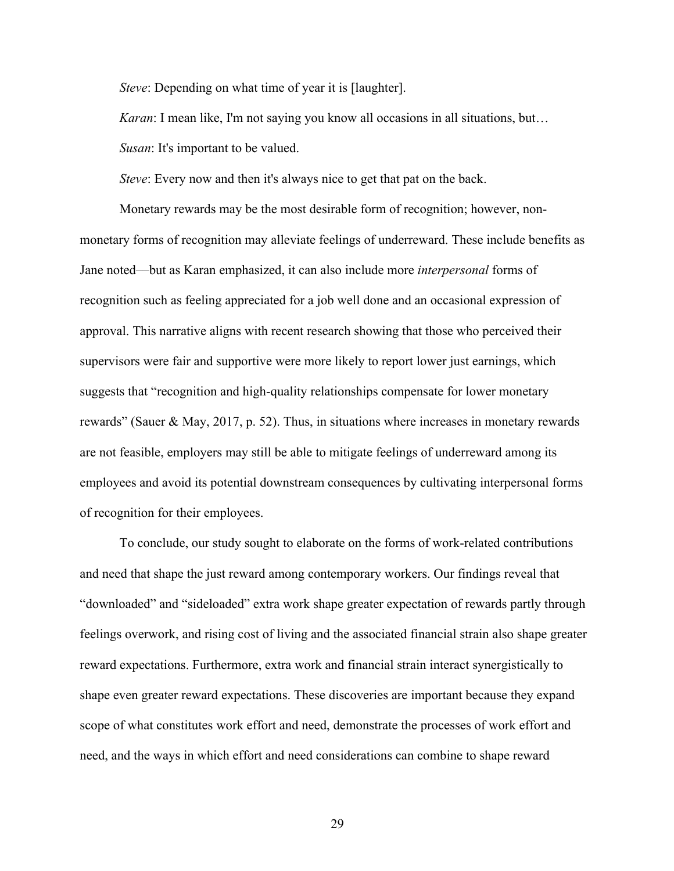*Steve*: Depending on what time of year it is [laughter].

*Karan*: I mean like, I'm not saying you know all occasions in all situations, but...

*Susan*: It's important to be valued.

*Steve*: Every now and then it's always nice to get that pat on the back.

Monetary rewards may be the most desirable form of recognition; however, nonmonetary forms of recognition may alleviate feelings of underreward. These include benefits as Jane noted––but as Karan emphasized, it can also include more *interpersonal* forms of recognition such as feeling appreciated for a job well done and an occasional expression of approval. This narrative aligns with recent research showing that those who perceived their supervisors were fair and supportive were more likely to report lower just earnings, which suggests that "recognition and high-quality relationships compensate for lower monetary rewards" (Sauer & May, 2017, p. 52). Thus, in situations where increases in monetary rewards are not feasible, employers may still be able to mitigate feelings of underreward among its employees and avoid its potential downstream consequences by cultivating interpersonal forms of recognition for their employees.

To conclude, our study sought to elaborate on the forms of work-related contributions and need that shape the just reward among contemporary workers. Our findings reveal that "downloaded" and "sideloaded" extra work shape greater expectation of rewards partly through feelings overwork, and rising cost of living and the associated financial strain also shape greater reward expectations. Furthermore, extra work and financial strain interact synergistically to shape even greater reward expectations. These discoveries are important because they expand scope of what constitutes work effort and need, demonstrate the processes of work effort and need, and the ways in which effort and need considerations can combine to shape reward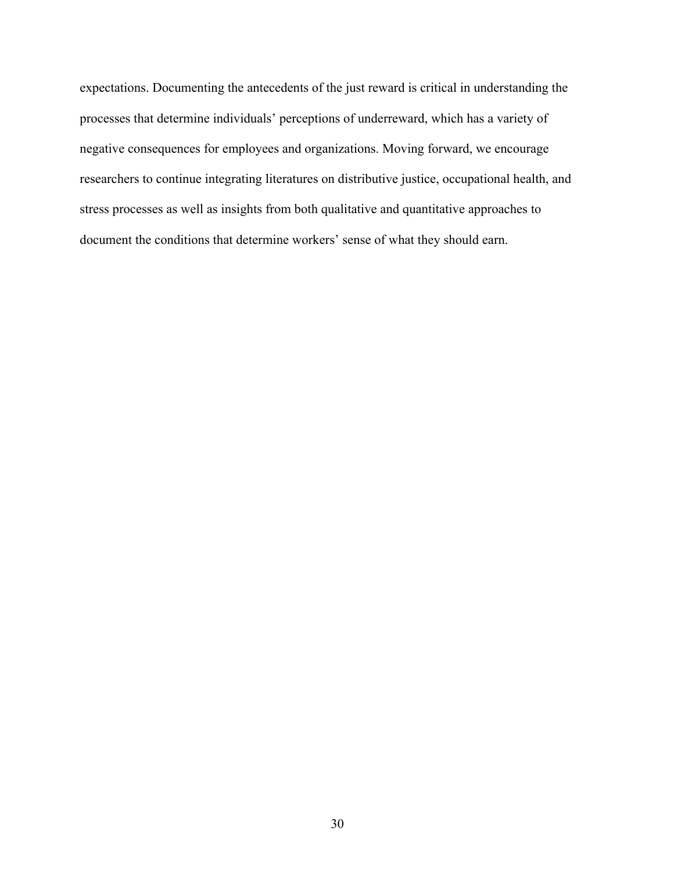expectations. Documenting the antecedents of the just reward is critical in understanding the processes that determine individuals' perceptions of underreward, which has a variety of negative consequences for employees and organizations. Moving forward, we encourage researchers to continue integrating literatures on distributive justice, occupational health, and stress processes as well as insights from both qualitative and quantitative approaches to document the conditions that determine workers' sense of what they should earn.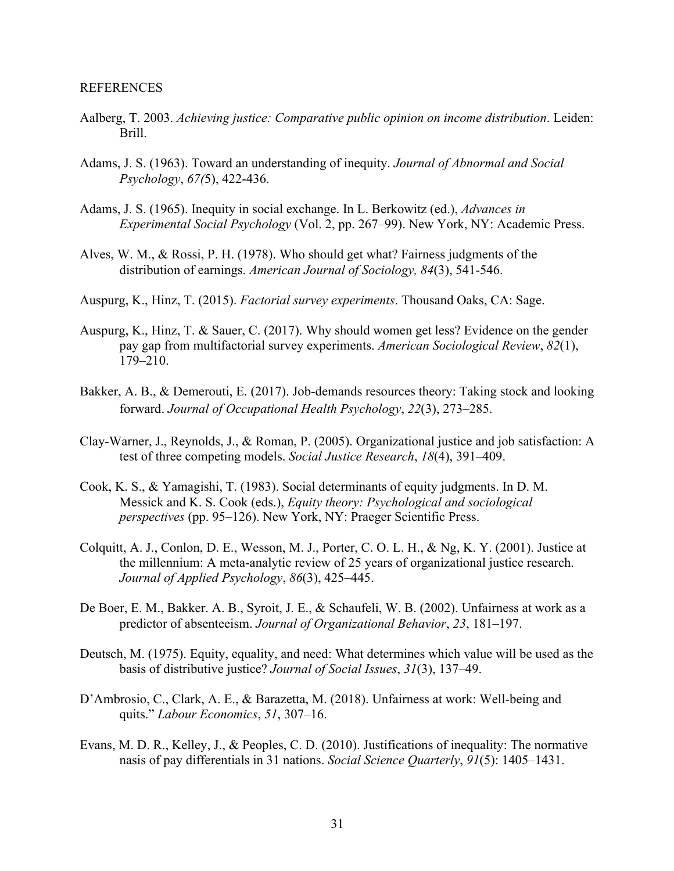#### REFERENCES

- Aalberg, T. 2003. *Achieving justice: Comparative public opinion on income distribution*. Leiden: Brill.
- Adams, J. S. (1963). Toward an understanding of inequity. *Journal of Abnormal and Social Psychology*, *67(*5), 422-436.
- Adams, J. S. (1965). Inequity in social exchange. In L. Berkowitz (ed.), *Advances in Experimental Social Psychology* (Vol. 2, pp. 267–99). New York, NY: Academic Press.
- Alves, W. M., & Rossi, P. H. (1978). Who should get what? Fairness judgments of the distribution of earnings. *American Journal of Sociology, 84*(3), 541-546.
- Auspurg, K., Hinz, T. (2015). *Factorial survey experiments*. Thousand Oaks, CA: Sage.
- Auspurg, K., Hinz, T. & Sauer, C. (2017). Why should women get less? Evidence on the gender pay gap from multifactorial survey experiments. *American Sociological Review*, *82*(1), 179–210.
- Bakker, A. B., & Demerouti, E. (2017). Job-demands resources theory: Taking stock and looking forward. *Journal of Occupational Health Psychology*, *22*(3), 273–285.
- Clay-Warner, J., Reynolds, J., & Roman, P. (2005). Organizational justice and job satisfaction: A test of three competing models. *Social Justice Research*, *18*(4), 391–409.
- Cook, K. S., & Yamagishi, T. (1983). Social determinants of equity judgments. In D. M. Messick and K. S. Cook (eds.), *Equity theory: Psychological and sociological perspectives* (pp. 95–126). New York, NY: Praeger Scientific Press.
- Colquitt, A. J., Conlon, D. E., Wesson, M. J., Porter, C. O. L. H., & Ng, K. Y. (2001). Justice at the millennium: A meta-analytic review of 25 years of organizational justice research. *Journal of Applied Psychology*, *86*(3), 425–445.
- De Boer, E. M., Bakker. A. B., Syroit, J. E., & Schaufeli, W. B. (2002). Unfairness at work as a predictor of absenteeism. *Journal of Organizational Behavior*, *23*, 181–197.
- Deutsch, M. (1975). Equity, equality, and need: What determines which value will be used as the basis of distributive justice? *Journal of Social Issues*, *31*(3), 137–49.
- D'Ambrosio, C., Clark, A. E., & Barazetta, M. (2018). Unfairness at work: Well-being and quits." *Labour Economics*, *51*, 307–16.
- Evans, M. D. R., Kelley, J., & Peoples, C. D. (2010). Justifications of inequality: The normative nasis of pay differentials in 31 nations. *Social Science Quarterly*, *91*(5): 1405–1431.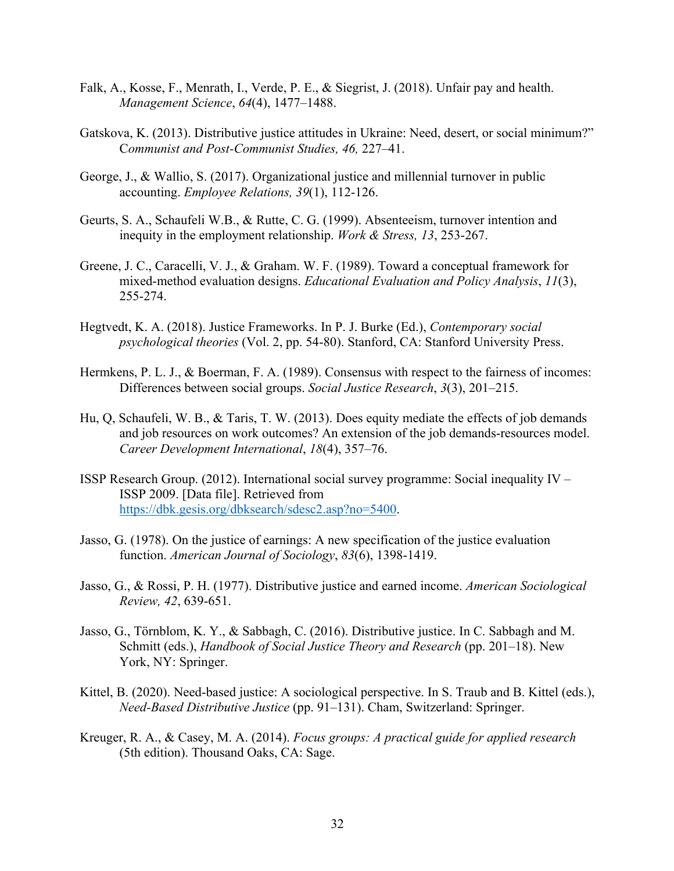- Falk, A., Kosse, F., Menrath, I., Verde, P. E., & Siegrist, J. (2018). Unfair pay and health. *Management Science*, *64*(4), 1477–1488.
- Gatskova, K. (2013). Distributive justice attitudes in Ukraine: Need, desert, or social minimum?" C*ommunist and Post-Communist Studies, 46,* 227–41.
- George, J., & Wallio, S. (2017). Organizational justice and millennial turnover in public accounting. *Employee Relations, 39*(1), 112-126.
- Geurts, S. A., Schaufeli W.B., & Rutte, C. G. (1999). Absenteeism, turnover intention and inequity in the employment relationship. *Work & Stress, 13*, 253-267.
- Greene, J. C., Caracelli, V. J., & Graham. W. F. (1989). Toward a conceptual framework for mixed-method evaluation designs. *Educational Evaluation and Policy Analysis*, *11*(3), 255-274.
- Hegtvedt, K. A. (2018). Justice Frameworks. In P. J. Burke (Ed.), *Contemporary social psychological theories* (Vol. 2, pp. 54-80). Stanford, CA: Stanford University Press.
- Hermkens, P. L. J., & Boerman, F. A. (1989). Consensus with respect to the fairness of incomes: Differences between social groups. *Social Justice Research*, *3*(3), 201–215.
- Hu, Q, Schaufeli, W. B., & Taris, T. W. (2013). Does equity mediate the effects of job demands and job resources on work outcomes? An extension of the job demands-resources model. *Career Development International*, *18*(4), 357–76.
- ISSP Research Group. (2012). International social survey programme: Social inequality IV ISSP 2009. [Data file]. Retrieved from https://dbk.gesis.org/dbksearch/sdesc2.asp?no=5400.
- Jasso, G. (1978). On the justice of earnings: A new specification of the justice evaluation function. *American Journal of Sociology*, *83*(6), 1398-1419.
- Jasso, G., & Rossi, P. H. (1977). Distributive justice and earned income. *American Sociological Review, 42*, 639-651.
- Jasso, G., Törnblom, K. Y., & Sabbagh, C. (2016). Distributive justice. In C. Sabbagh and M. Schmitt (eds.), *Handbook of Social Justice Theory and Research* (pp. 201–18). New York, NY: Springer.
- Kittel, B. (2020). Need-based justice: A sociological perspective. In S. Traub and B. Kittel (eds.), *Need-Based Distributive Justice* (pp. 91–131). Cham, Switzerland: Springer.
- Kreuger, R. A., & Casey, M. A. (2014). *Focus groups: A practical guide for applied research* (5th edition). Thousand Oaks, CA: Sage.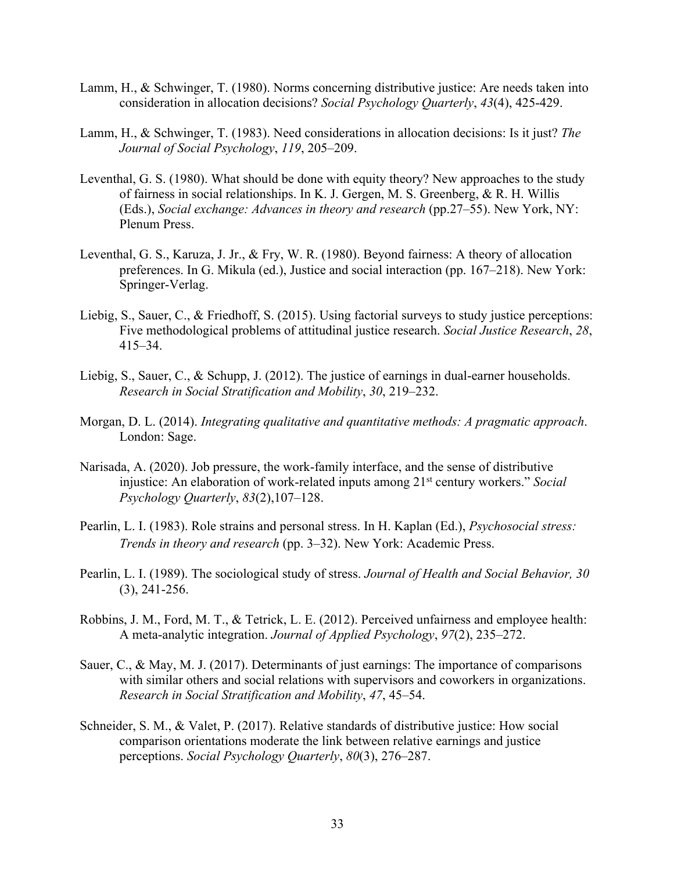- Lamm, H., & Schwinger, T. (1980). Norms concerning distributive justice: Are needs taken into consideration in allocation decisions? *Social Psychology Quarterly*, *43*(4), 425-429.
- Lamm, H., & Schwinger, T. (1983). Need considerations in allocation decisions: Is it just? *The Journal of Social Psychology*, *119*, 205–209.
- Leventhal, G. S. (1980). What should be done with equity theory? New approaches to the study of fairness in social relationships. In K. J. Gergen, M. S. Greenberg, & R. H. Willis (Eds.), *Social exchange: Advances in theory and research* (pp.27–55). New York, NY: Plenum Press.
- Leventhal, G. S., Karuza, J. Jr., & Fry, W. R. (1980). Beyond fairness: A theory of allocation preferences. In G. Mikula (ed.), Justice and social interaction (pp. 167–218). New York: Springer-Verlag.
- Liebig, S., Sauer, C., & Friedhoff, S. (2015). Using factorial surveys to study justice perceptions: Five methodological problems of attitudinal justice research. *Social Justice Research*, *28*, 415–34.
- Liebig, S., Sauer, C., & Schupp, J. (2012). The justice of earnings in dual-earner households. *Research in Social Stratification and Mobility*, *30*, 219–232.
- Morgan, D. L. (2014). *Integrating qualitative and quantitative methods: A pragmatic approach*. London: Sage.
- Narisada, A. (2020). Job pressure, the work-family interface, and the sense of distributive injustice: An elaboration of work-related inputs among 21st century workers." *Social Psychology Quarterly*, *83*(2),107–128.
- Pearlin, L. I. (1983). Role strains and personal stress. In H. Kaplan (Ed.), *Psychosocial stress: Trends in theory and research* (pp. 3–32). New York: Academic Press.
- Pearlin, L. I. (1989). The sociological study of stress. *Journal of Health and Social Behavior, 30*  (3), 241-256.
- Robbins, J. M., Ford, M. T., & Tetrick, L. E. (2012). Perceived unfairness and employee health: A meta-analytic integration. *Journal of Applied Psychology*, *97*(2), 235–272.
- Sauer, C., & May, M. J. (2017). Determinants of just earnings: The importance of comparisons with similar others and social relations with supervisors and coworkers in organizations. *Research in Social Stratification and Mobility*, *47*, 45–54.
- Schneider, S. M., & Valet, P. (2017). Relative standards of distributive justice: How social comparison orientations moderate the link between relative earnings and justice perceptions. *Social Psychology Quarterly*, *80*(3), 276–287.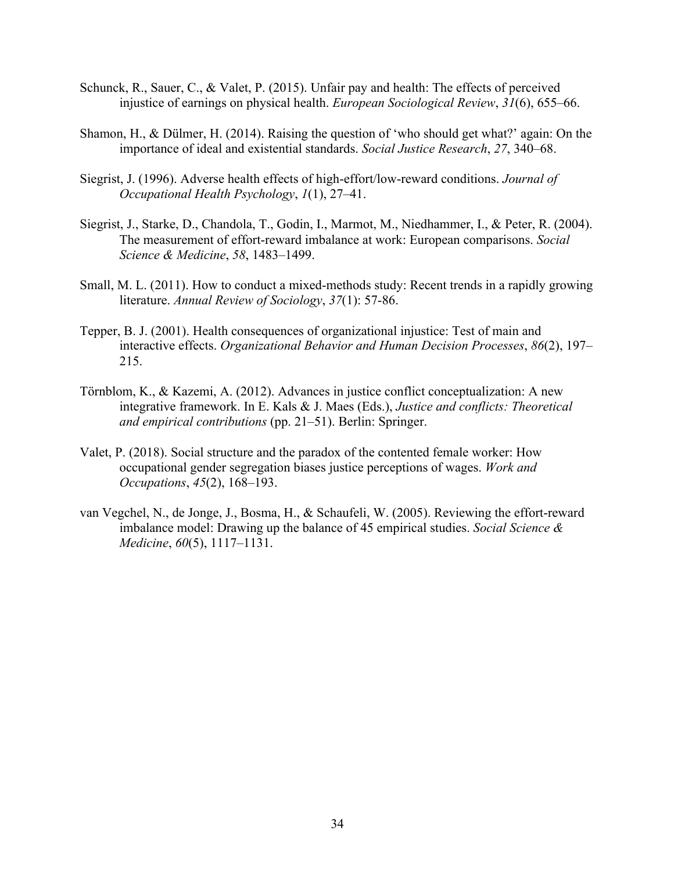- Schunck, R., Sauer, C., & Valet, P. (2015). Unfair pay and health: The effects of perceived injustice of earnings on physical health. *European Sociological Review*, *31*(6), 655–66.
- Shamon, H., & Dülmer, H. (2014). Raising the question of 'who should get what?' again: On the importance of ideal and existential standards. *Social Justice Research*, *27*, 340–68.
- Siegrist, J. (1996). Adverse health effects of high-effort/low-reward conditions. *Journal of Occupational Health Psychology*, *1*(1), 27–41.
- Siegrist, J., Starke, D., Chandola, T., Godin, I., Marmot, M., Niedhammer, I., & Peter, R. (2004). The measurement of effort-reward imbalance at work: European comparisons. *Social Science & Medicine*, *58*, 1483–1499.
- Small, M. L. (2011). How to conduct a mixed-methods study: Recent trends in a rapidly growing literature. *Annual Review of Sociology*, *37*(1): 57-86.
- Tepper, B. J. (2001). Health consequences of organizational injustice: Test of main and interactive effects. *Organizational Behavior and Human Decision Processes*, *86*(2), 197– 215.
- Törnblom, K., & Kazemi, A. (2012). Advances in justice conflict conceptualization: A new integrative framework. In E. Kals & J. Maes (Eds.), *Justice and conflicts: Theoretical and empirical contributions* (pp. 21–51). Berlin: Springer.
- Valet, P. (2018). Social structure and the paradox of the contented female worker: How occupational gender segregation biases justice perceptions of wages. *Work and Occupations*, *45*(2), 168–193.
- van Vegchel, N., de Jonge, J., Bosma, H., & Schaufeli, W. (2005). Reviewing the effort-reward imbalance model: Drawing up the balance of 45 empirical studies. *Social Science & Medicine*, *60*(5), 1117–1131.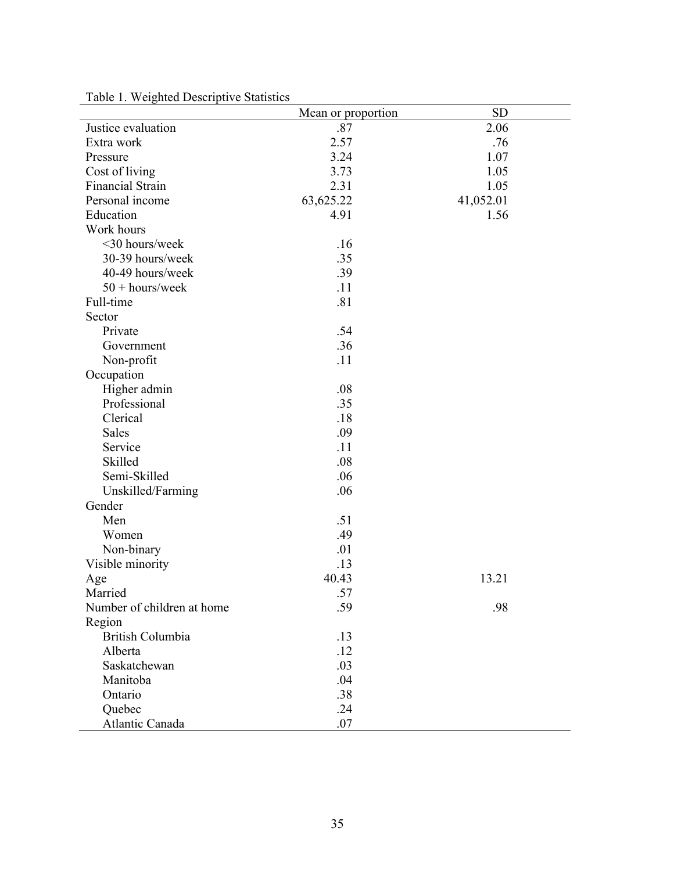|                            | Mean or proportion | <b>SD</b> |
|----------------------------|--------------------|-----------|
| Justice evaluation         | .87                | 2.06      |
| Extra work                 | 2.57               | .76       |
| Pressure                   | 3.24               | 1.07      |
| Cost of living             | 3.73               | 1.05      |
| Financial Strain           | 2.31               | 1.05      |
| Personal income            | 63,625.22          | 41,052.01 |
| Education                  | 4.91               | 1.56      |
| Work hours                 |                    |           |
| <30 hours/week             | .16                |           |
| 30-39 hours/week           | .35                |           |
| 40-49 hours/week           | .39                |           |
| $50 + hours/week$          | .11                |           |
| Full-time                  | .81                |           |
| Sector                     |                    |           |
| Private                    | .54                |           |
| Government                 | .36                |           |
| Non-profit                 | .11                |           |
| Occupation                 |                    |           |
| Higher admin               | .08                |           |
| Professional               | .35                |           |
| Clerical                   | .18                |           |
| Sales                      | .09                |           |
| Service                    | .11                |           |
| Skilled                    | .08                |           |
| Semi-Skilled               | .06                |           |
| Unskilled/Farming          | .06                |           |
| Gender                     |                    |           |
| Men                        | .51                |           |
| Women                      | .49                |           |
| Non-binary                 | .01                |           |
| Visible minority           | .13                |           |
| Age                        | 40.43              | 13.21     |
| Married                    | .57                |           |
| Number of children at home | .59                | .98       |
| Region                     |                    |           |
| <b>British Columbia</b>    | .13                |           |
| Alberta                    | .12                |           |
| Saskatchewan               | .03                |           |
| Manitoba                   | .04                |           |
| Ontario                    | .38                |           |
| Quebec                     | .24                |           |
| Atlantic Canada            | .07                |           |

Table 1. Weighted Descriptive Statistics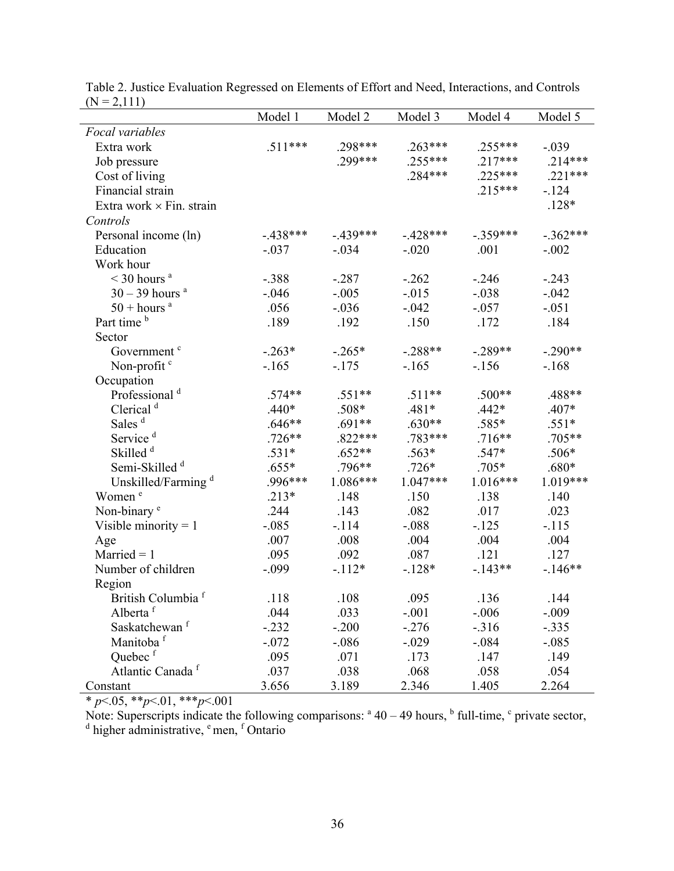|                                | Model 1    | Model 2    | Model 3    | Model 4    | Model 5    |
|--------------------------------|------------|------------|------------|------------|------------|
| Focal variables                |            |            |            |            |            |
| Extra work                     | $.511***$  | .298***    | $.263***$  | $.255***$  | $-.039$    |
| Job pressure                   |            | .299***    | $.255***$  | $.217***$  | $.214***$  |
| Cost of living                 |            |            | .284***    | $.225***$  | $.221***$  |
| Financial strain               |            |            |            | $.215***$  | $-124$     |
| Extra work × Fin. strain       |            |            |            |            | $.128*$    |
| Controls                       |            |            |            |            |            |
| Personal income (ln)           | $-.438***$ | $-.439***$ | $-.428***$ | $-.359***$ | $-.362***$ |
| Education                      | $-.037$    | $-.034$    | $-.020$    | .001       | $-.002$    |
| Work hour                      |            |            |            |            |            |
| $<$ 30 hours <sup>a</sup>      | $-.388$    | $-.287$    | $-.262$    | $-.246$    | $-.243$    |
| $30 - 39$ hours <sup>a</sup>   | $-.046$    | $-.005$    | $-0.015$   | $-.038$    | $-.042$    |
| $50 + hours$ <sup>a</sup>      | .056       | $-.036$    | $-.042$    | $-.057$    | $-.051$    |
| Part time <sup>b</sup>         | .189       | .192       | .150       | .172       | .184       |
| Sector                         |            |            |            |            |            |
| Government <sup>c</sup>        | $-.263*$   | $-.265*$   | $-.288**$  | $-.289**$  | $-.290**$  |
| Non-profit <sup>c</sup>        | $-.165$    | $-.175$    | $-165$     | $-156$     | $-.168$    |
| Occupation                     |            |            |            |            |            |
| Professional <sup>d</sup>      | $.574**$   | $.551**$   | $.511**$   | $.500**$   | .488**     |
| Clerical <sup>d</sup>          | $.440*$    | $.508*$    | $.481*$    | $.442*$    | $.407*$    |
| Sales <sup>d</sup>             | $.646**$   | $.691**$   | $.630**$   | $.585*$    | $.551*$    |
| Service <sup>d</sup>           | $.726**$   | $.822***$  | .783***    | $.716**$   | $.705**$   |
| Skilled <sup>d</sup>           | $.531*$    | $.652**$   | $.563*$    | $.547*$    | $.506*$    |
| Semi-Skilled <sup>d</sup>      | $.655*$    | $.796**$   | $.726*$    | $.705*$    | $.680*$    |
| Unskilled/Farming <sup>d</sup> | .996***    | $1.086***$ | $1.047***$ | $1.016***$ | 1.019***   |
| Women <sup>e</sup>             | $.213*$    | .148       | .150       | .138       | .140       |
| Non-binary <sup>e</sup>        | .244       | .143       | .082       | .017       | .023       |
| Visible minority $= 1$         | $-.085$    | $-.114$    | $-.088$    | $-.125$    | $-.115$    |
| Age                            | .007       | .008       | .004       | .004       | .004       |
| $Married = 1$                  | .095       | .092       | .087       | .121       | .127       |
| Number of children             | $-.099$    | $-112*$    | $-.128*$   | $-143**$   | $-.146**$  |
| Region                         |            |            |            |            |            |
| British Columbia <sup>f</sup>  | .118       | .108       | .095       | .136       | 144        |
| Alberta <sup>f</sup>           | .044       | .033       | $-.001$    | $-.006$    | $-.009$    |
| Saskatchewan <sup>f</sup>      | $-.232$    | $-.200$    | $-.276$    | $-316$     | $-.335$    |
| Manitoba <sup>f</sup>          | $-.072$    | $-.086$    | $-.029$    | $-.084$    | $-.085$    |
| Quebec <sup>f</sup>            | .095       | .071       | .173       | .147       | .149       |
| Atlantic Canada <sup>f</sup>   | .037       | .038       | .068       | .058       | .054       |
| Constant                       | 3.656      | 3.189      | 2.346      | 1.405      | 2.264      |

Table 2. Justice Evaluation Regressed on Elements of Effort and Need, Interactions, and Controls  $(N = 2,111)$ 

\* *p*<.05, \*\**p*<.01, \*\*\**p*<.001

Note: Superscripts indicate the following comparisons:  $a^4 + 40 - 49$  hours,  $b^6$  full-time,  $c^6$  private sector, <sup>d</sup> higher administrative, <sup>e</sup> men, <sup>f</sup> Ontario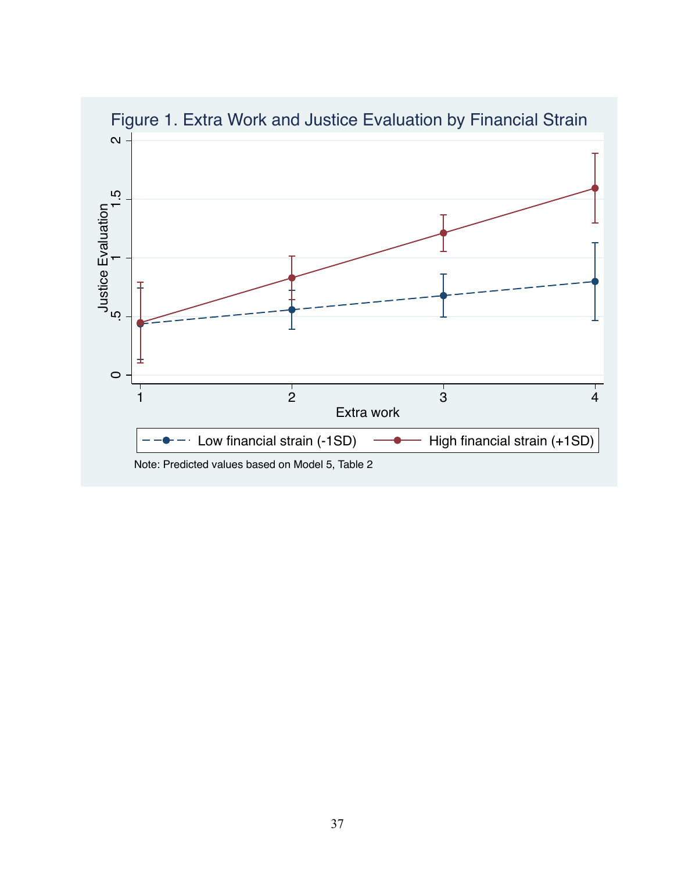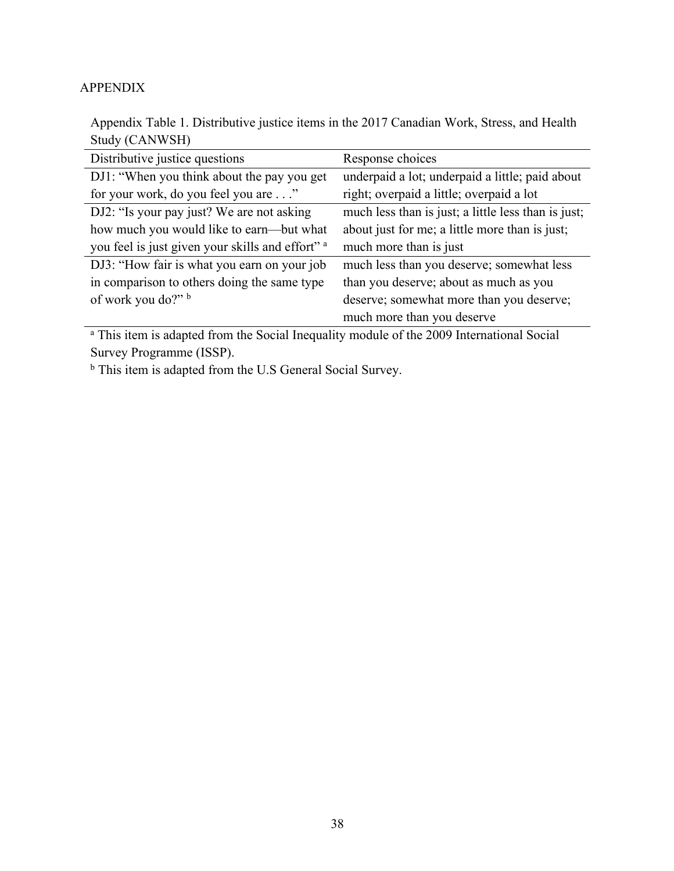# APPENDIX

Appendix Table 1. Distributive justice items in the 2017 Canadian Work, Stress, and Health Study (CANWSH)

| Distributive justice questions                              | Response choices                                    |
|-------------------------------------------------------------|-----------------------------------------------------|
| DJ1: "When you think about the pay you get                  | underpaid a lot; underpaid a little; paid about     |
| for your work, do you feel you are"                         | right; overpaid a little; overpaid a lot            |
| DJ2: "Is your pay just? We are not asking                   | much less than is just; a little less than is just; |
| how much you would like to earn—but what                    | about just for me; a little more than is just;      |
| you feel is just given your skills and effort" <sup>a</sup> | much more than is just                              |
| DJ3: "How fair is what you earn on your job                 | much less than you deserve; somewhat less           |
| in comparison to others doing the same type                 | than you deserve; about as much as you              |
| of work you do?" b                                          | deserve; somewhat more than you deserve;            |
|                                                             | much more than you deserve                          |

<sup>a</sup> This item is adapted from the Social Inequality module of the 2009 International Social Survey Programme (ISSP).

<sup>b</sup> This item is adapted from the U.S General Social Survey.